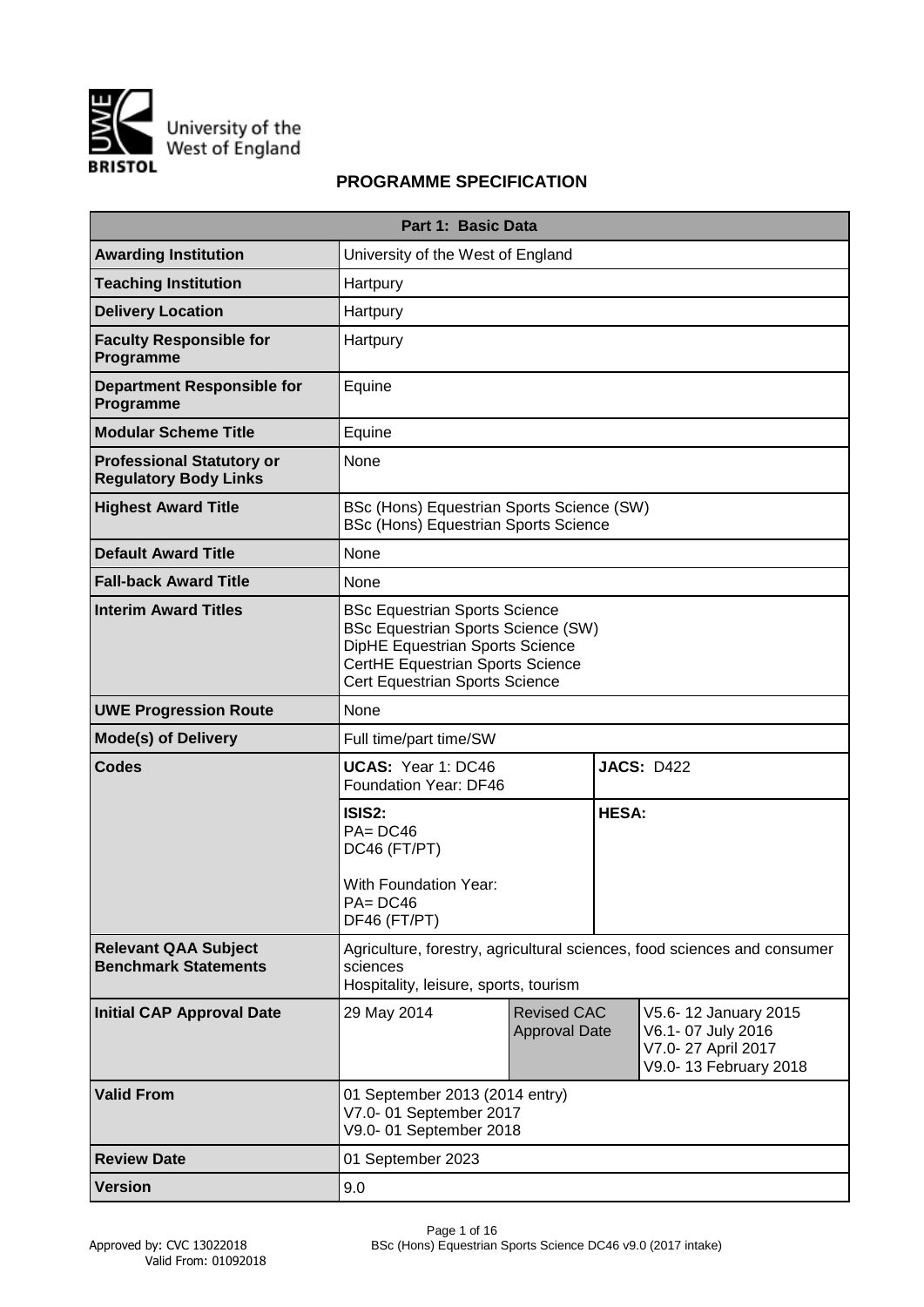

# **PROGRAMME SPECIFICATION**

|                                                                  | Part 1: Basic Data                                                                                                                                                                         |                                            |              |                                                                                          |
|------------------------------------------------------------------|--------------------------------------------------------------------------------------------------------------------------------------------------------------------------------------------|--------------------------------------------|--------------|------------------------------------------------------------------------------------------|
| <b>Awarding Institution</b>                                      | University of the West of England                                                                                                                                                          |                                            |              |                                                                                          |
| <b>Teaching Institution</b>                                      | Hartpury                                                                                                                                                                                   |                                            |              |                                                                                          |
| <b>Delivery Location</b>                                         | Hartpury                                                                                                                                                                                   |                                            |              |                                                                                          |
| <b>Faculty Responsible for</b><br>Programme                      | Hartpury                                                                                                                                                                                   |                                            |              |                                                                                          |
| <b>Department Responsible for</b><br>Programme                   | Equine                                                                                                                                                                                     |                                            |              |                                                                                          |
| <b>Modular Scheme Title</b>                                      | Equine                                                                                                                                                                                     |                                            |              |                                                                                          |
| <b>Professional Statutory or</b><br><b>Regulatory Body Links</b> | None                                                                                                                                                                                       |                                            |              |                                                                                          |
| <b>Highest Award Title</b>                                       | BSc (Hons) Equestrian Sports Science (SW)<br><b>BSc (Hons) Equestrian Sports Science</b>                                                                                                   |                                            |              |                                                                                          |
| <b>Default Award Title</b>                                       | None                                                                                                                                                                                       |                                            |              |                                                                                          |
| <b>Fall-back Award Title</b>                                     | None                                                                                                                                                                                       |                                            |              |                                                                                          |
| <b>Interim Award Titles</b>                                      | <b>BSc Equestrian Sports Science</b><br><b>BSc Equestrian Sports Science (SW)</b><br>DipHE Equestrian Sports Science<br>CertHE Equestrian Sports Science<br>Cert Equestrian Sports Science |                                            |              |                                                                                          |
| <b>UWE Progression Route</b>                                     | None                                                                                                                                                                                       |                                            |              |                                                                                          |
| <b>Mode(s) of Delivery</b>                                       | Full time/part time/SW                                                                                                                                                                     |                                            |              |                                                                                          |
| <b>Codes</b>                                                     | UCAS: Year 1: DC46<br>Foundation Year: DF46                                                                                                                                                |                                            |              | <b>JACS: D422</b>                                                                        |
|                                                                  | ISIS2:<br>$PA = DC46$<br>DC46 (FT/PT)<br><b>With Foundation Year:</b><br>$PA = DC46$<br>DF46 (FT/PT)                                                                                       |                                            | <b>HESA:</b> |                                                                                          |
| <b>Relevant QAA Subject</b><br><b>Benchmark Statements</b>       | sciences<br>Hospitality, leisure, sports, tourism                                                                                                                                          |                                            |              | Agriculture, forestry, agricultural sciences, food sciences and consumer                 |
| <b>Initial CAP Approval Date</b>                                 | 29 May 2014                                                                                                                                                                                | <b>Revised CAC</b><br><b>Approval Date</b> |              | V5.6-12 January 2015<br>V6.1-07 July 2016<br>V7.0-27 April 2017<br>V9.0-13 February 2018 |
| <b>Valid From</b>                                                | 01 September 2013 (2014 entry)<br>V7.0-01 September 2017<br>V9.0-01 September 2018                                                                                                         |                                            |              |                                                                                          |
| <b>Review Date</b>                                               | 01 September 2023                                                                                                                                                                          |                                            |              |                                                                                          |
| <b>Version</b>                                                   | 9.0                                                                                                                                                                                        |                                            |              |                                                                                          |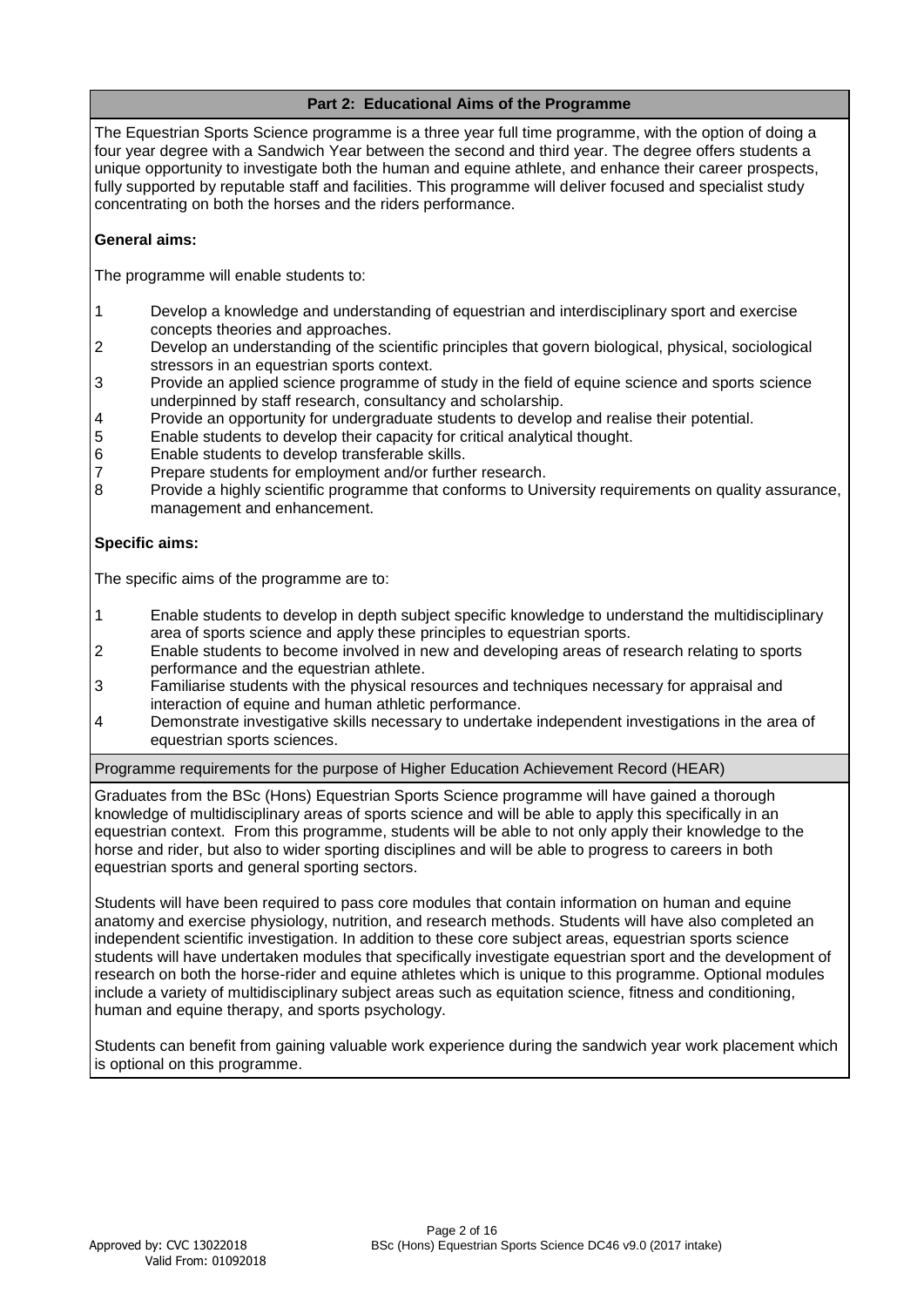# **Part 2: Educational Aims of the Programme**

The Equestrian Sports Science programme is a three year full time programme, with the option of doing a four year degree with a Sandwich Year between the second and third year. The degree offers students a unique opportunity to investigate both the human and equine athlete, and enhance their career prospects, fully supported by reputable staff and facilities. This programme will deliver focused and specialist study concentrating on both the horses and the riders performance.

# **General aims:**

The programme will enable students to:

- 1 Develop a knowledge and understanding of equestrian and interdisciplinary sport and exercise concepts theories and approaches.
- 2 Develop an understanding of the scientific principles that govern biological, physical, sociological stressors in an equestrian sports context.
- 3 Provide an applied science programme of study in the field of equine science and sports science underpinned by staff research, consultancy and scholarship.
- 4 Provide an opportunity for undergraduate students to develop and realise their potential.
- 5 Enable students to develop their capacity for critical analytical thought.
- 6 Enable students to develop transferable skills.
- 7 Prepare students for employment and/or further research.
- 8 Provide a highly scientific programme that conforms to University requirements on quality assurance, management and enhancement.

# **Specific aims:**

The specific aims of the programme are to:

- 1 Enable students to develop in depth subject specific knowledge to understand the multidisciplinary area of sports science and apply these principles to equestrian sports.
- 2 Enable students to become involved in new and developing areas of research relating to sports performance and the equestrian athlete.
- 3 Familiarise students with the physical resources and techniques necessary for appraisal and interaction of equine and human athletic performance.
- 4 Demonstrate investigative skills necessary to undertake independent investigations in the area of equestrian sports sciences.

# Programme requirements for the purpose of Higher Education Achievement Record (HEAR)

Graduates from the BSc (Hons) Equestrian Sports Science programme will have gained a thorough knowledge of multidisciplinary areas of sports science and will be able to apply this specifically in an equestrian context. From this programme, students will be able to not only apply their knowledge to the horse and rider, but also to wider sporting disciplines and will be able to progress to careers in both equestrian sports and general sporting sectors.

Students will have been required to pass core modules that contain information on human and equine anatomy and exercise physiology, nutrition, and research methods. Students will have also completed an independent scientific investigation. In addition to these core subject areas, equestrian sports science students will have undertaken modules that specifically investigate equestrian sport and the development of research on both the horse-rider and equine athletes which is unique to this programme. Optional modules include a variety of multidisciplinary subject areas such as equitation science, fitness and conditioning, human and equine therapy, and sports psychology.

Students can benefit from gaining valuable work experience during the sandwich year work placement which is optional on this programme.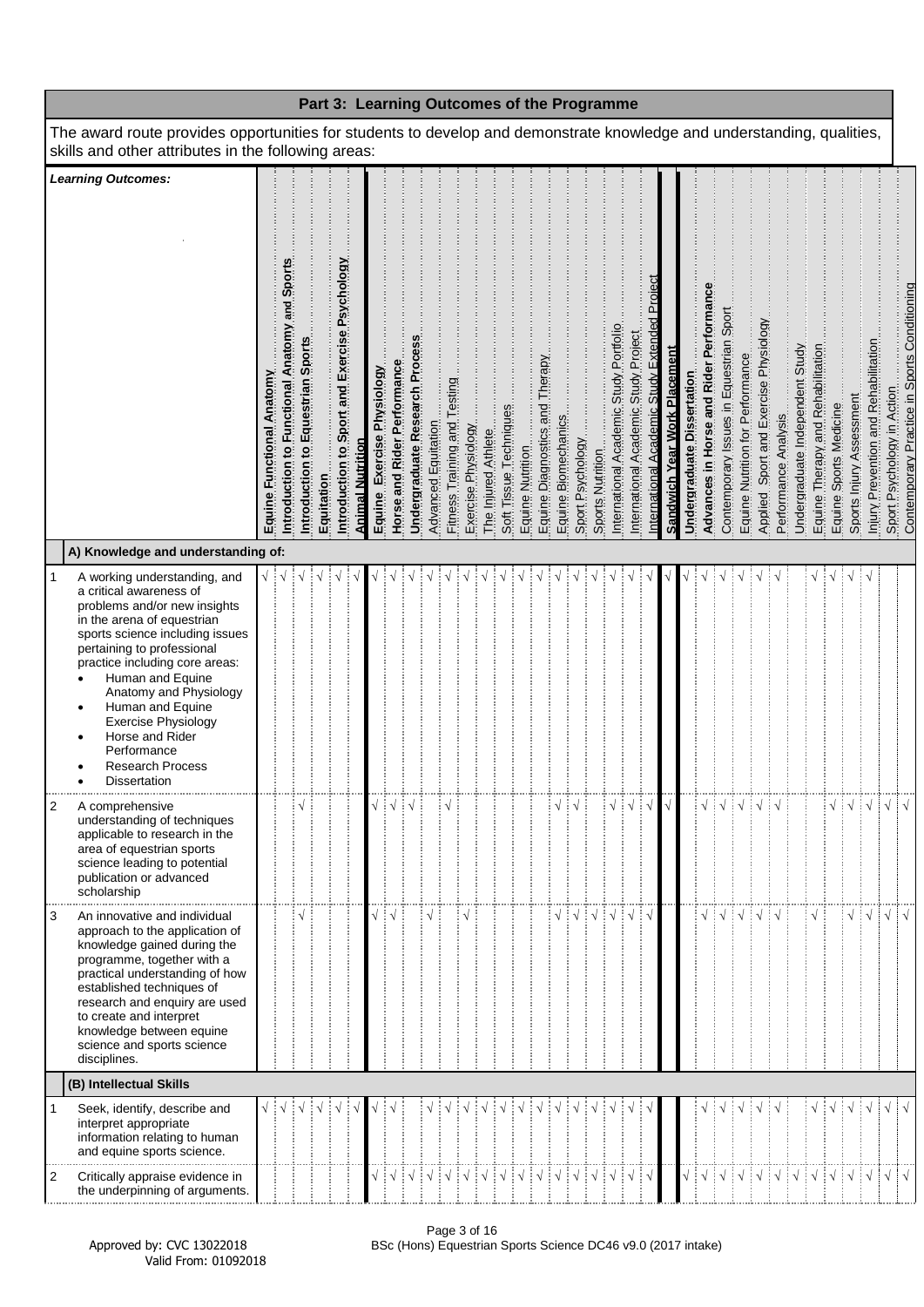|                                                                                                                                                                                                                                                                                                                                                                                                            |                              |                                                  |                                      |            |                                               |                         |                               |                             |                                        |                                                         |                              |                     |                                                                                                                                                                                                                                                                                                                                                                                           |                        |                  |  |                                                                           | Part 3: Learning Outcomes of the Programme |                                        |                                         |                                               |                                     |                            |                                       |                                         |                                  |                                       |                      |                                 |                                                                                         |            |                                    |                                      |                                                                            |  |
|------------------------------------------------------------------------------------------------------------------------------------------------------------------------------------------------------------------------------------------------------------------------------------------------------------------------------------------------------------------------------------------------------------|------------------------------|--------------------------------------------------|--------------------------------------|------------|-----------------------------------------------|-------------------------|-------------------------------|-----------------------------|----------------------------------------|---------------------------------------------------------|------------------------------|---------------------|-------------------------------------------------------------------------------------------------------------------------------------------------------------------------------------------------------------------------------------------------------------------------------------------------------------------------------------------------------------------------------------------|------------------------|------------------|--|---------------------------------------------------------------------------|--------------------------------------------|----------------------------------------|-----------------------------------------|-----------------------------------------------|-------------------------------------|----------------------------|---------------------------------------|-----------------------------------------|----------------------------------|---------------------------------------|----------------------|---------------------------------|-----------------------------------------------------------------------------------------|------------|------------------------------------|--------------------------------------|----------------------------------------------------------------------------|--|
| The award route provides opportunities for students to develop and demonstrate knowledge and understanding, qualities,<br>skills and other attributes in the following areas:                                                                                                                                                                                                                              |                              |                                                  |                                      |            |                                               |                         |                               |                             |                                        |                                                         |                              |                     |                                                                                                                                                                                                                                                                                                                                                                                           |                        |                  |  |                                                                           |                                            |                                        |                                         |                                               |                                     |                            |                                       |                                         |                                  |                                       |                      |                                 |                                                                                         |            |                                    |                                      |                                                                            |  |
| <b>Learning Outcomes:</b><br>A) Knowledge and understanding of:                                                                                                                                                                                                                                                                                                                                            | Functional Anatomy<br>Equine | and Sports<br>Introduction to Functional Anatomy | Equestrian Sports<br>Introduction to | Equitation | Introduction to Sport and Exercise Psychology | <b>Animal Nutrition</b> | Exercise Physiology<br>Equine | Horse and Rider Performance | Undergraduate Research Proces          | Advanced Equitation                                     | Fitness Training and Testing | Exercise Physiology | The Injured Athlete                                                                                                                                                                                                                                                                                                                                                                       | Soft Tissue Techniques | Equine Nutrition |  | Equine Diagnostics and Therapy<br>Equine Biomechanics<br>Sport Psychology | Sports Nutrition                           | International Academic Study Portfolio | Project<br>International Academic Study | International Academic Study Extended Proiect | <b>Sandwich Year Work Placement</b> | Undergraduate Dissertation | Advances in Horse and Rider Performan | Contemporary Issues in Equestrian Sport | Equine Nutrition for Performance | Applied Sport and Exercise Physiology | Performance Analysis | Undergraduate Independent Study | Equine Therapy and Rehabilitation<br>Equine Sports Medicine<br>Sports Inlury Assessment |            |                                    | Injury Prevention and Rehabilitation | Sport Psychology in Action<br>Contemporary Practice in Sports Conditioning |  |
| A working understanding, and<br>1<br>a critical awareness of<br>problems and/or new insights<br>in the arena of equestrian<br>sports science including issues<br>pertaining to professional<br>practice including core areas:<br>Human and Equine<br>Anatomy and Physiology<br>Human and Equine<br><b>Exercise Physiology</b><br>Horse and Rider<br>Performance<br><b>Research Process</b><br>Dissertation |                              |                                                  |                                      |            |                                               |                         |                               |                             |                                        |                                                         |                              |                     |                                                                                                                                                                                                                                                                                                                                                                                           |                        |                  |  |                                                                           |                                            |                                        |                                         |                                               |                                     |                            |                                       |                                         |                                  |                                       |                      |                                 |                                                                                         |            | ∶√                                 |                                      |                                                                            |  |
| 2<br>A comprehensive<br>understanding of techniques<br>applicable to research in the<br>area of equestrian sports<br>science leading to potential<br>publication or advanced<br>scholarship                                                                                                                                                                                                                |                              |                                                  | $\sqrt{}$                            |            |                                               |                         |                               |                             | $\sqrt{\frac{1}{2}}\sqrt{\frac{1}{2}}$ |                                                         |                              |                     |                                                                                                                                                                                                                                                                                                                                                                                           |                        |                  |  |                                                                           |                                            | $\sqrt{\frac{1}{2}}\sqrt{\frac{1}{2}}$ | $\sqrt{ }$                              |                                               |                                     |                            | $\sqrt{}$                             |                                         |                                  | ┊√┊√┊√┊√                              |                      |                                 |                                                                                         |            | $\frac{1}{2}$ $\sqrt{\frac{1}{2}}$ |                                      | $\vert\,\mathrm{\sqrt}\,\vert$ $\,\mathrm{\sqrt}$                          |  |
| $\sqrt{ }$<br>An innovative and individual<br>3<br>approach to the application of<br>knowledge gained during the<br>programme, together with a<br>practical understanding of how<br>established techniques of<br>research and enquiry are used<br>to create and interpret<br>knowledge between equine<br>science and sports science<br>disciplines.                                                        |                              |                                                  |                                      |            |                                               |                         |                               |                             |                                        |                                                         |                              |                     |                                                                                                                                                                                                                                                                                                                                                                                           |                        |                  |  |                                                                           |                                            |                                        |                                         |                                               |                                     |                            |                                       |                                         |                                  |                                       |                      |                                 |                                                                                         |            |                                    |                                      |                                                                            |  |
| (B) Intellectual Skills                                                                                                                                                                                                                                                                                                                                                                                    |                              |                                                  |                                      |            |                                               |                         |                               |                             |                                        |                                                         |                              |                     |                                                                                                                                                                                                                                                                                                                                                                                           |                        |                  |  |                                                                           |                                            |                                        |                                         |                                               |                                     |                            |                                       |                                         |                                  |                                       |                      |                                 |                                                                                         |            |                                    |                                      |                                                                            |  |
| 1<br>Seek, identify, describe and<br>interpret appropriate<br>information relating to human<br>and equine sports science.                                                                                                                                                                                                                                                                                  |                              |                                                  |                                      |            |                                               |                         |                               |                             |                                        |                                                         |                              |                     |                                                                                                                                                                                                                                                                                                                                                                                           |                        |                  |  |                                                                           |                                            |                                        |                                         |                                               |                                     |                            |                                       |                                         |                                  |                                       |                      |                                 |                                                                                         | $\sqrt{ }$ | ∶√                                 |                                      | $\sqrt{ \sqrt{2}}$                                                         |  |
| Critically appraise evidence in<br>2<br>the underpinning of arguments.                                                                                                                                                                                                                                                                                                                                     |                              |                                                  |                                      |            |                                               |                         |                               |                             | $\frac{1}{2}$ $\sqrt{2}$               | $\frac{1}{2}$ $\sqrt{\frac{1}{2}}$ $\sqrt{\frac{1}{2}}$ |                              |                     | $\begin{array}{c c c c c c c} \hline & \sqrt{16} & \sqrt{16} & \sqrt{16} & \sqrt{16} & \sqrt{16} & \sqrt{16} & \sqrt{16} & \sqrt{16} & \sqrt{16} & \sqrt{16} & \sqrt{16} & \sqrt{16} & \sqrt{16} & \sqrt{16} & \sqrt{16} & \sqrt{16} & \sqrt{16} & \sqrt{16} & \sqrt{16} & \sqrt{16} & \sqrt{16} & \sqrt{16} & \sqrt{16} & \sqrt{16} & \sqrt{16} & \sqrt{16} & \sqrt{16} & \sqrt{16} & \$ |                        |                  |  |                                                                           |                                            |                                        |                                         |                                               |                                     |                            |                                       |                                         |                                  |                                       |                      |                                 |                                                                                         |            |                                    |                                      |                                                                            |  |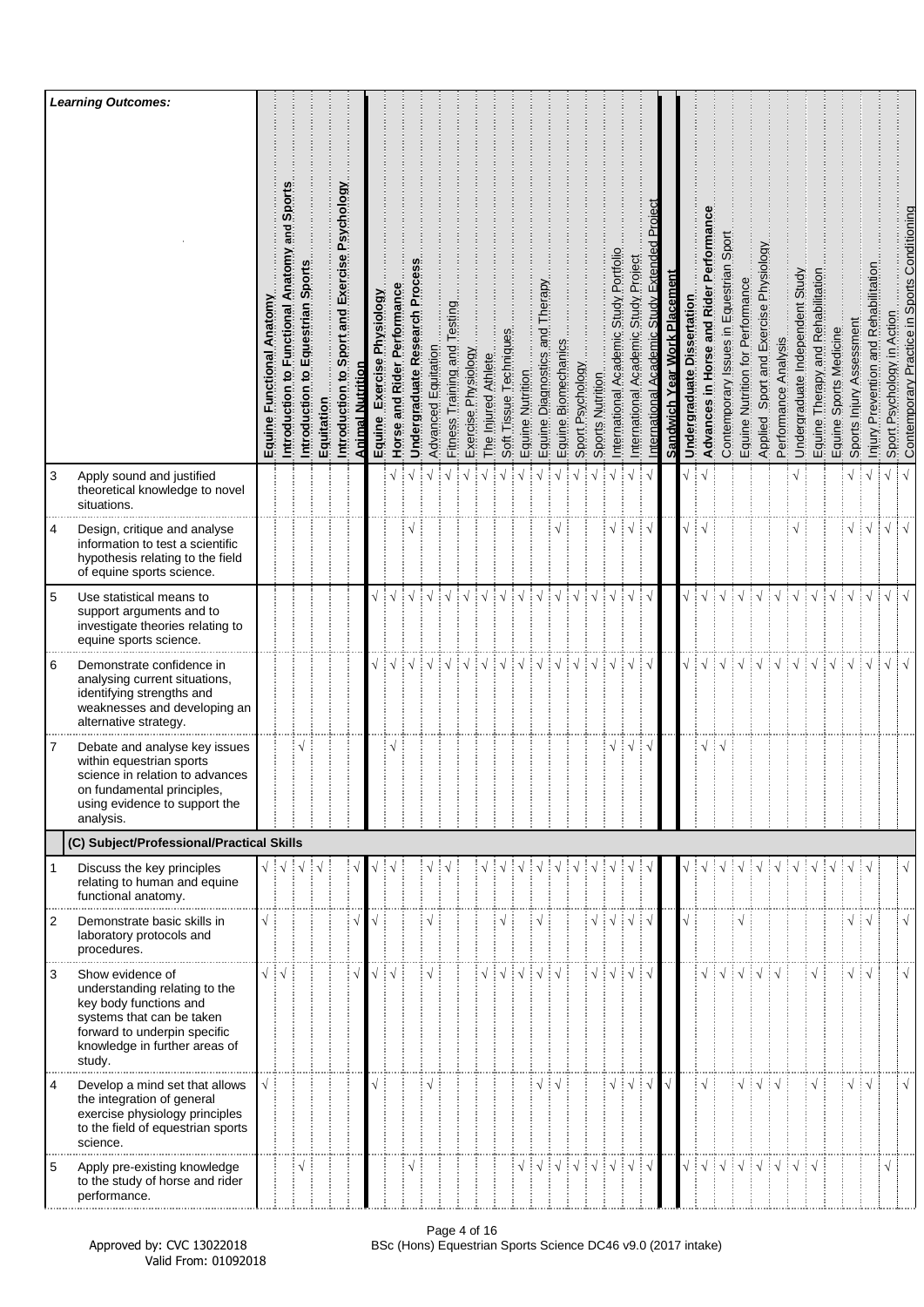|                | <b>Learning Outcomes:</b>                                                                                                                                                           |                                 |                                                           |                                                      |            |                                               |                         |                               |                             |                                |                     |                                 |                     |                     |                        |                  |                                      |                                                         |                  |                                        |                                             |                                            |                                               |                              |                                        |                                             |                                            |                                  |                                          |                      |                                    |                                   |                                        |                          |                                                 |                               |                                              |
|----------------|-------------------------------------------------------------------------------------------------------------------------------------------------------------------------------------|---------------------------------|-----------------------------------------------------------|------------------------------------------------------|------------|-----------------------------------------------|-------------------------|-------------------------------|-----------------------------|--------------------------------|---------------------|---------------------------------|---------------------|---------------------|------------------------|------------------|--------------------------------------|---------------------------------------------------------|------------------|----------------------------------------|---------------------------------------------|--------------------------------------------|-----------------------------------------------|------------------------------|----------------------------------------|---------------------------------------------|--------------------------------------------|----------------------------------|------------------------------------------|----------------------|------------------------------------|-----------------------------------|----------------------------------------|--------------------------|-------------------------------------------------|-------------------------------|----------------------------------------------|
|                |                                                                                                                                                                                     | Anatomy<br>Functional<br>Equine | Ë<br>š<br>and<br>Anatomy<br>Functional<br>Introduction to | Sports<br>Equestrian<br>$\mathbf{S}$<br>Introduction | Equitation | Introduction to Sport and Exercise Psychology | <b>Animal Nutrition</b> | Exercise Physiology<br>Equine | Horse and Rider Performance | Proc<br>Undergraduate Research | Advanced Equitation | Testing<br>Fitness Training and | Exercise Physiology | The Injured Athlete | Soft Tissue Techniques | Equine Nutrition | Therapy<br>pue<br>Equine Diagnostics | Equine Biomechanics                                     | Sport Psychology | Sports Nutrition                       | Portfolio<br>Study<br>nternational Academic | Project<br>Study<br>International Academic | Project<br>Study<br>Academic<br>International | Sandwich Year Work Placement | Undergraduate Dissertation             | Performan<br>and Rider<br>Advances in Horse | Sport<br>Contemporary Issues in Equestrian | Equine Nutrition for Performance | Sport and Exercise Physiology<br>Applied | Performance Analysis | Undergraduate Independent Study    | Equine Therapy and Rehabilitation | Sports Medicine<br>Equine <sup>5</sup> | Sports Injury Assessment | Prevention and Rehabilitation<br><u>Miniury</u> | Psychology in Action<br>Sport | Contemporary Practice in Sports Conditioning |
| 3              | Apply sound and justified<br>theoretical knowledge to novel<br>situations.                                                                                                          |                                 |                                                           |                                                      |            |                                               |                         |                               |                             |                                |                     |                                 | $\sqrt{}$           |                     |                        |                  |                                      |                                                         |                  |                                        |                                             | $\sqrt{ }$                                 |                                               |                              | √ ∶                                    | $\sqrt{ }$                                  |                                            |                                  |                                          |                      |                                    |                                   |                                        | $\sqrt{}$                | $\sqrt{ }$                                      | $\sqrt{}$                     | $\sqrt{ }$                                   |
| 4              | Design, critique and analyse<br>information to test a scientific<br>hypothesis relating to the field<br>of equine sports science.                                                   |                                 |                                                           |                                                      |            |                                               |                         |                               |                             |                                |                     |                                 |                     |                     |                        |                  |                                      |                                                         |                  |                                        |                                             | $\sqrt{ }$                                 |                                               |                              |                                        |                                             |                                            |                                  |                                          |                      |                                    |                                   |                                        | $\sqrt{2}$               |                                                 | $\sqrt{}$                     |                                              |
| 5              | Use statistical means to<br>support arguments and to<br>investigate theories relating to<br>equine sports science.                                                                  |                                 |                                                           |                                                      |            |                                               |                         |                               |                             |                                |                     |                                 |                     |                     |                        |                  |                                      |                                                         |                  |                                        |                                             |                                            |                                               |                              |                                        |                                             |                                            |                                  |                                          |                      |                                    |                                   |                                        |                          | $\sqrt{ }$                                      | $\sqrt{2}$                    | $\sqrt{ }$                                   |
| 6              | Demonstrate confidence in<br>analysing current situations,<br>identifying strengths and<br>weaknesses and developing an<br>alternative strategy.                                    |                                 |                                                           |                                                      |            |                                               |                         |                               | $\sqrt{ }$                  | $\frac{1}{2}$                  | $\frac{1}{2}$       |                                 | ┊√                  | $\frac{1}{2}$       | ं√                     | $\sqrt{ }$       | ┊√                                   | $\sqrt{ }$                                              | ÷√               | $\sqrt{ }$                             | ÷√                                          | $\sqrt{}$                                  | ‡√                                            |                              | $\sqrt{\frac{1}{2}}\sqrt{\frac{1}{2}}$ |                                             | $\frac{1}{2}$                              | ं √                              | ┊√                                       | ‡√                   | ∄√                                 | ∔ √                               | ∶√                                     | ∔ √                      | $\frac{1}{2}$                                   | $\sqrt{}$                     |                                              |
| 7              | Debate and analyse key issues<br>within equestrian sports<br>science in relation to advances<br>on fundamental principles,<br>using evidence to support the<br>analysis.            |                                 |                                                           |                                                      |            |                                               |                         |                               |                             |                                |                     |                                 |                     |                     |                        |                  |                                      |                                                         |                  |                                        | V                                           | $\sqrt{ }$                                 | ÷ν                                            |                              |                                        | N                                           |                                            |                                  |                                          |                      |                                    |                                   |                                        |                          |                                                 |                               |                                              |
|                | (C) Subject/Professional/Practical Skills                                                                                                                                           |                                 |                                                           |                                                      |            |                                               |                         |                               |                             |                                |                     |                                 |                     |                     |                        |                  |                                      |                                                         |                  |                                        |                                             |                                            |                                               |                              |                                        |                                             |                                            |                                  |                                          |                      |                                    |                                   |                                        |                          |                                                 |                               |                                              |
|                | Discuss the key principles<br>relating to human and equine<br>functional anatomy.                                                                                                   |                                 |                                                           |                                                      |            |                                               |                         |                               |                             |                                |                     |                                 |                     |                     |                        |                  |                                      |                                                         |                  |                                        |                                             |                                            |                                               |                              |                                        |                                             |                                            |                                  |                                          |                      |                                    |                                   |                                        |                          | ∶√                                              |                               |                                              |
| $\overline{2}$ | Demonstrate basic skills in<br>laboratory protocols and<br>procedures.                                                                                                              |                                 |                                                           |                                                      |            |                                               |                         |                               |                             |                                |                     |                                 |                     |                     |                        |                  |                                      |                                                         |                  | $\sqrt{\frac{1}{2}}\sqrt{\frac{1}{2}}$ |                                             | ┆√                                         | Εν                                            |                              |                                        |                                             |                                            |                                  |                                          |                      |                                    |                                   |                                        | $\sqrt{4}$               |                                                 |                               | N                                            |
| 3              | Show evidence of<br>understanding relating to the<br>key body functions and<br>systems that can be taken<br>forward to underpin specific<br>knowledge in further areas of<br>study. | $\sqrt{4}$                      |                                                           |                                                      |            |                                               |                         |                               |                             |                                | $\sqrt{ }$          |                                 |                     |                     |                        |                  |                                      |                                                         |                  | $\sqrt{\frac{1}{2}}\sqrt{\frac{1}{2}}$ |                                             | $\sqrt{ }$                                 |                                               |                              |                                        | $\sqrt{ }$                                  | ∔√                                         | ┆√                               | ∔√                                       |                      |                                    |                                   |                                        | $\sqrt{2}$               |                                                 |                               | $\mathbf{v}$                                 |
| 4              | Develop a mind set that allows<br>the integration of general<br>exercise physiology principles<br>to the field of equestrian sports<br>science.                                     |                                 |                                                           |                                                      |            |                                               |                         |                               |                             |                                |                     |                                 |                     |                     |                        |                  |                                      |                                                         |                  |                                        | $\sqrt{}$                                   | ∶√                                         | ∶√                                            |                              |                                        | $\sqrt{ }$                                  |                                            | $\sqrt{}$                        | $\frac{1}{2}$                            | ∶√                   |                                    | $\sqrt{}$                         |                                        | $\sqrt{2}$               |                                                 |                               | N                                            |
| 5              | Apply pre-existing knowledge<br>to the study of horse and rider<br>performance.                                                                                                     |                                 |                                                           |                                                      |            |                                               |                         |                               |                             | $\sqrt{}$                      |                     |                                 |                     |                     |                        |                  |                                      | $\frac{1}{2}$ $\sqrt{\frac{1}{2}}$ $\sqrt{\frac{1}{2}}$ |                  | ┆√┊√                                   |                                             | ┊√                                         | ∔ √                                           |                              |                                        | $\sqrt{2}$                                  |                                            | $\sqrt{2}$ $\sqrt{2}$            |                                          | $\frac{1}{2}$        | $\frac{1}{2}$ $\sqrt{\frac{1}{2}}$ |                                   |                                        |                          |                                                 | $\sqrt{}$                     |                                              |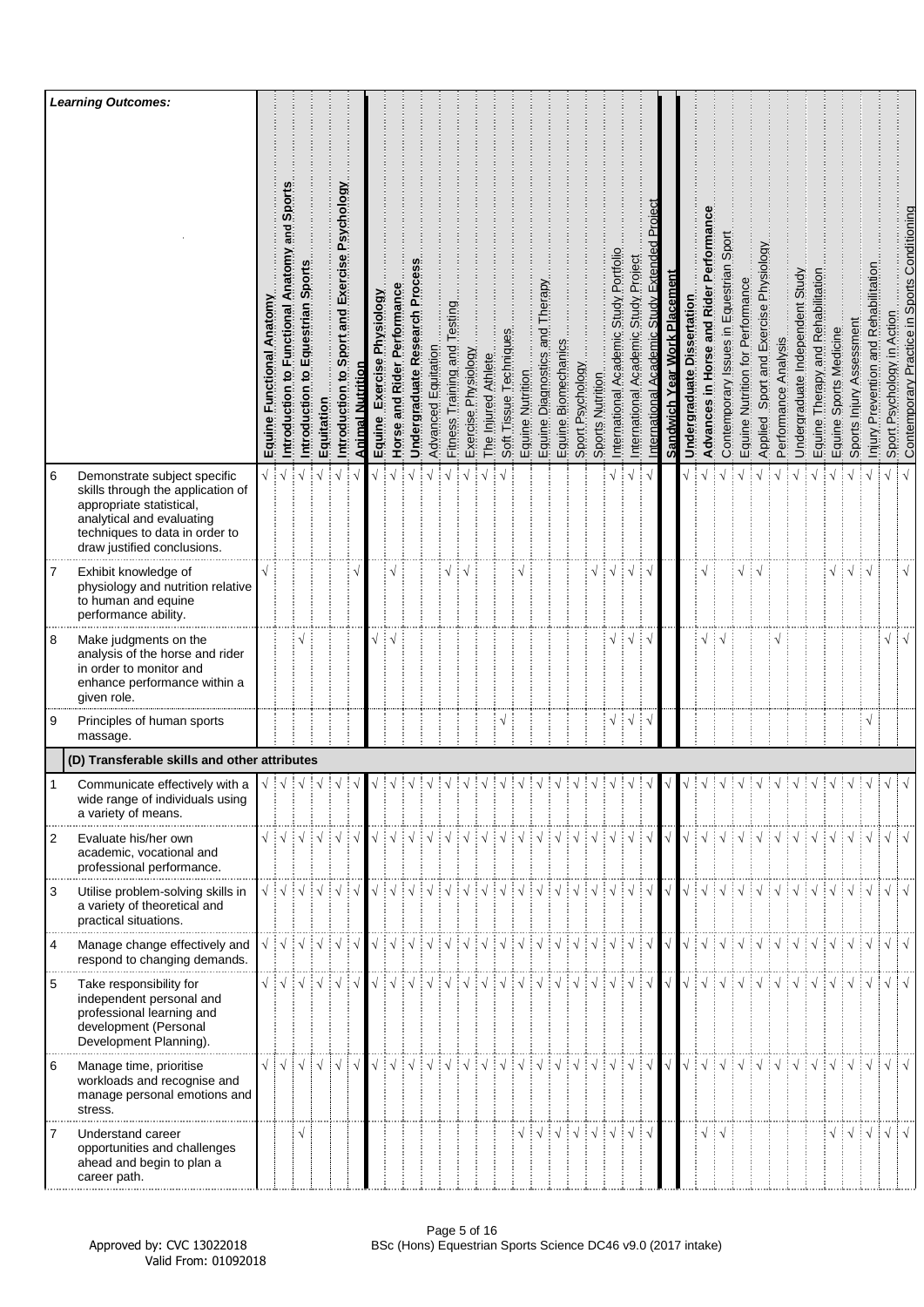|                | <b>Learning Outcomes:</b>                                                                                                                                                                   |                                 |                                                       |                                                                                                                |            |                                                  |                  |                                  |                             |                                 |                     |                                 |                     |                     |                        |                  |                                               |                        |                  |                  |                                                                                                                                                                                                                                                                                                                                                                                                                                                                                                                                                              |                                                 |                                                        |                              |                               |                                                                                                                                                            |                                            |                                  |                                          |                          |                                 |                                   |                            |                                                                   |                                          |                               |                                              |
|----------------|---------------------------------------------------------------------------------------------------------------------------------------------------------------------------------------------|---------------------------------|-------------------------------------------------------|----------------------------------------------------------------------------------------------------------------|------------|--------------------------------------------------|------------------|----------------------------------|-----------------------------|---------------------------------|---------------------|---------------------------------|---------------------|---------------------|------------------------|------------------|-----------------------------------------------|------------------------|------------------|------------------|--------------------------------------------------------------------------------------------------------------------------------------------------------------------------------------------------------------------------------------------------------------------------------------------------------------------------------------------------------------------------------------------------------------------------------------------------------------------------------------------------------------------------------------------------------------|-------------------------------------------------|--------------------------------------------------------|------------------------------|-------------------------------|------------------------------------------------------------------------------------------------------------------------------------------------------------|--------------------------------------------|----------------------------------|------------------------------------------|--------------------------|---------------------------------|-----------------------------------|----------------------------|-------------------------------------------------------------------|------------------------------------------|-------------------------------|----------------------------------------------|
|                |                                                                                                                                                                                             | Anatomy<br>Functional<br>Equine | Sport<br>and<br>Anatomy<br>Functional<br>Introduction | Sport<br>Equestrian<br>$\overline{\mathbf{c}}$<br>Introduction                                                 | Equitation | Sport and Exercise Psychology<br>Introduction to | Animal Nutrition | Physiology<br>Exercise<br>Equine | Horse and Rider Performance | Proce<br>Undergraduate Research | Advanced Equitation | Testing<br>Fitness Training and | Exercise Physiology | The Injured Athlete | Soft Tissue Techniques | Equine Nutrition | Therapy<br>pue<br>en<br>Diagnostics<br>Equine | Biomechanics<br>Equine | Sport Psychology | Sports Nutrition | Portfolio<br>Study<br>Academic<br>International                                                                                                                                                                                                                                                                                                                                                                                                                                                                                                              | Project<br>Study  <br>Academic<br>International | Project<br>Extended<br>Academic Study<br>International | Sandwich Year Work Placement | Dissertation<br>Undergraduate | orman<br>Pert<br>in Horse and Rider<br><b>Advances</b>                                                                                                     | Sport<br>Contemporary Issues in Equestrian | Equine Nutrition for Performance | Sport and Exercise Physiology<br>Applied | Performance Analysis     | Undergraduate Independent Study | Equine Therapy and Rehabilitation | Sports Medicine<br>Equine: | Sports Injury Assessment                                          | Prevention and Rehabilitation<br>Injury. | Sport Psychology in Action    | Contemporary Practice in Sports Conditioning |
| 6              | Demonstrate subject specific<br>skills through the application of<br>appropriate statistical,<br>analytical and evaluating<br>techniques to data in order to<br>draw justified conclusions. | $\sqrt{2}$                      |                                                       |                                                                                                                |            |                                                  |                  |                                  |                             |                                 |                     |                                 |                     |                     |                        |                  |                                               |                        |                  |                  |                                                                                                                                                                                                                                                                                                                                                                                                                                                                                                                                                              | $\sqrt{ }$                                      |                                                        |                              |                               |                                                                                                                                                            |                                            |                                  |                                          |                          |                                 |                                   |                            |                                                                   |                                          | $\sqrt{}$                     |                                              |
| 7              | Exhibit knowledge of<br>physiology and nutrition relative<br>to human and equine<br>performance ability.                                                                                    |                                 |                                                       |                                                                                                                |            |                                                  |                  |                                  |                             |                                 |                     |                                 |                     |                     |                        |                  |                                               |                        |                  | $\sqrt{}$        |                                                                                                                                                                                                                                                                                                                                                                                                                                                                                                                                                              | N                                               |                                                        |                              |                               |                                                                                                                                                            |                                            |                                  |                                          |                          |                                 |                                   |                            | ┊√┊√                                                              |                                          |                               | $\sqrt{}$                                    |
| 8              | Make judgments on the<br>analysis of the horse and rider<br>in order to monitor and<br>enhance performance within a<br>given role.                                                          |                                 |                                                       |                                                                                                                |            |                                                  |                  |                                  |                             |                                 |                     |                                 |                     |                     |                        |                  |                                               |                        |                  |                  |                                                                                                                                                                                                                                                                                                                                                                                                                                                                                                                                                              |                                                 |                                                        |                              |                               |                                                                                                                                                            |                                            |                                  |                                          |                          |                                 |                                   |                            |                                                                   |                                          | $\sqrt{}$                     |                                              |
| 9              | Principles of human sports<br>massage.                                                                                                                                                      |                                 |                                                       |                                                                                                                |            |                                                  |                  |                                  |                             |                                 |                     |                                 |                     |                     | $\mathbf{A}$           |                  |                                               |                        |                  |                  | $\sqrt{}$                                                                                                                                                                                                                                                                                                                                                                                                                                                                                                                                                    | į٧                                              |                                                        |                              |                               |                                                                                                                                                            |                                            |                                  |                                          |                          |                                 |                                   |                            |                                                                   | $\sqrt{}$                                |                               |                                              |
|                | (D) Transferable skills and other attributes                                                                                                                                                |                                 |                                                       |                                                                                                                |            |                                                  |                  |                                  |                             |                                 |                     |                                 |                     |                     |                        |                  |                                               |                        |                  |                  |                                                                                                                                                                                                                                                                                                                                                                                                                                                                                                                                                              |                                                 |                                                        |                              |                               |                                                                                                                                                            |                                            |                                  |                                          |                          |                                 |                                   |                            |                                                                   |                                          |                               |                                              |
|                | Communicate effectively with a<br>wide range of individuals using<br>a variety of means.                                                                                                    |                                 |                                                       |                                                                                                                |            |                                                  |                  |                                  |                             |                                 |                     |                                 |                     |                     |                        |                  |                                               |                        |                  | $\sqrt{d}$       |                                                                                                                                                                                                                                                                                                                                                                                                                                                                                                                                                              |                                                 |                                                        |                              |                               |                                                                                                                                                            |                                            | $\frac{1}{2}$                    | $\frac{1}{2}$                            | $\frac{1}{2}$ $\sqrt{2}$ |                                 | $\frac{1}{2}$                     |                            | $\frac{1}{2}$                                                     |                                          |                               |                                              |
| $\overline{2}$ | Evaluate his/her own<br>academic, vocational and<br>professional performance.                                                                                                               |                                 |                                                       |                                                                                                                |            |                                                  |                  |                                  |                             |                                 |                     |                                 |                     |                     |                        |                  |                                               |                        |                  |                  | $\begin{array}{c} \sqrt{\frac{1}{2}}\sqrt{\frac{1}{2}}\sqrt{\frac{1}{2}}\sqrt{\frac{1}{2}}\sqrt{\frac{1}{2}}\sqrt{\frac{1}{2}}\sqrt{\frac{1}{2}}\sqrt{\frac{1}{2}}\sqrt{\frac{1}{2}}\sqrt{\frac{1}{2}}\sqrt{\frac{1}{2}}\sqrt{\frac{1}{2}}\sqrt{\frac{1}{2}}\sqrt{\frac{1}{2}}\sqrt{\frac{1}{2}}\sqrt{\frac{1}{2}}\sqrt{\frac{1}{2}}\sqrt{\frac{1}{2}}\sqrt{\frac{1}{2}}\sqrt{\frac{1}{2}}\sqrt{\frac{1}{2}}\sqrt{\frac{1}{2}}\sqrt{\frac{1}{2}}\sqrt{\frac{1$                                                                                               |                                                 |                                                        | $\sqrt{ }$                   | $\sqrt{2}$                    |                                                                                                                                                            |                                            |                                  |                                          |                          |                                 |                                   |                            |                                                                   |                                          |                               |                                              |
| 3              | Utilise problem-solving skills in<br>a variety of theoretical and<br>practical situations.                                                                                                  |                                 |                                                       | $\sqrt{\frac{1}{2}}\sqrt{\frac{1}{2}}\sqrt{\frac{1}{2}}\sqrt{\frac{1}{2}}\sqrt{\frac{1}{2}}\sqrt{\frac{1}{2}}$ |            |                                                  |                  |                                  |                             |                                 |                     |                                 |                     |                     |                        |                  |                                               |                        |                  |                  |                                                                                                                                                                                                                                                                                                                                                                                                                                                                                                                                                              |                                                 |                                                        |                              |                               |                                                                                                                                                            |                                            |                                  |                                          |                          |                                 |                                   |                            | VIVIVIVIVIVIVIVIVIVIV                                             |                                          |                               |                                              |
| $\overline{4}$ | Manage change effectively and<br>respond to changing demands.                                                                                                                               |                                 |                                                       |                                                                                                                |            |                                                  |                  |                                  |                             |                                 |                     |                                 |                     |                     |                        |                  |                                               |                        |                  |                  | $\begin{array}{c} \begin{array}{c} \sqrt{\phantom{a}} \end{array} \end{array} \begin{array}{c} \begin{array}{c} \sqrt{\phantom{a}} \end{array} \end{array} \begin{array}{c} \begin{array}{c} \sqrt{\phantom{a}} \end{array} \end{array} \begin{array}{c} \begin{array}{c} \sqrt{\phantom{a}} \end{array} \end{array} \begin{array}{c} \begin{array}{c} \sqrt{\phantom{a}} \end{array} \end{array} \begin{array}{c} \begin{array}{c} \sqrt{\phantom{a}} \end{array} \end{array} \begin{array}{c} \begin{array}{c} \sqrt{\phantom{a}} \end{array} \$           |                                                 | $\frac{1}{2}$ $\sqrt{2}$                               | $\sqrt{}$                    |                               |                                                                                                                                                            |                                            |                                  |                                          |                          |                                 |                                   |                            | VIVIVIVIVIVIVIVIV                                                 |                                          |                               | $\sqrt{d}$                                   |
| 5              | Take responsibility for<br>independent personal and<br>professional learning and<br>development (Personal<br>Development Planning).                                                         |                                 |                                                       | √∔√∔√∔√                                                                                                        |            |                                                  |                  |                                  |                             |                                 |                     |                                 |                     |                     |                        |                  |                                               |                        |                  |                  |                                                                                                                                                                                                                                                                                                                                                                                                                                                                                                                                                              |                                                 |                                                        | $\sqrt{ }$                   |                               |                                                                                                                                                            |                                            |                                  |                                          |                          |                                 |                                   |                            | VIVIVIVIVIVIVIVIV                                                 |                                          |                               |                                              |
| 6              | Manage time, prioritise<br>workloads and recognise and<br>manage personal emotions and<br>stress.                                                                                           | $\sqrt{ \sqrt{2}}$              |                                                       | $\sqrt{ }$                                                                                                     |            | $\sqrt{ \sqrt{2}}$                               | $\sqrt{ }$       |                                  |                             |                                 |                     |                                 |                     |                     |                        |                  |                                               |                        |                  |                  | V V V V V V V V V V V V V V V V                                                                                                                                                                                                                                                                                                                                                                                                                                                                                                                              |                                                 | ं√                                                     | $\sqrt{ }$                   |                               | $\begin{array}{c} \sqrt{\phantom{a}} : \sqrt{\phantom{a}} : \sqrt{\phantom{a}} : \sqrt{\phantom{a}} : \sqrt{\phantom{a}} : \sqrt{\phantom{a}} \end{array}$ |                                            |                                  |                                          | ┊√                       | $\frac{1}{2}$                   |                                   |                            | $\exists \sqrt{\vdots} \sqrt{\vdots} \sqrt{\vdots} \sqrt{\vdots}$ |                                          | $\sqrt{ \sqrt{2} }$           |                                              |
| 7              | Understand career<br>opportunities and challenges<br>ahead and begin to plan a<br>career path.                                                                                              |                                 |                                                       | $\sqrt{}$                                                                                                      |            |                                                  |                  |                                  |                             |                                 |                     |                                 |                     |                     |                        |                  |                                               |                        |                  |                  | $\begin{array}{c} \sqrt{\phantom{a}} \\ \sqrt{\phantom{a}} \\ \sqrt{\phantom{a}} \\ \sqrt{\phantom{a}} \\ \sqrt{\phantom{a}} \\ \sqrt{\phantom{a}} \\ \sqrt{\phantom{a}} \\ \sqrt{\phantom{a}} \\ \sqrt{\phantom{a}} \\ \sqrt{\phantom{a}} \\ \sqrt{\phantom{a}} \\ \sqrt{\phantom{a}} \\ \sqrt{\phantom{a}} \\ \sqrt{\phantom{a}} \\ \sqrt{\phantom{a}} \\ \sqrt{\phantom{a}} \\ \sqrt{\phantom{a}} \\ \sqrt{\phantom{a}} \\ \sqrt{\phantom{a}} \\ \sqrt{\phantom{a}} \\ \sqrt{\phantom{a}} \\ \sqrt{\phantom{a}} \\ \sqrt{\phantom{a}} \\ \sqrt{\phantom{$ |                                                 |                                                        |                              |                               | $\sqrt{ }$                                                                                                                                                 | ÷√                                         |                                  |                                          |                          |                                 |                                   |                            | $\sqrt{\frac{1}{2}}\sqrt{\frac{1}{2}}\sqrt{\frac{1}{2}}$          |                                          | $\sqrt{ \sqrt{25} \sqrt{25}}$ |                                              |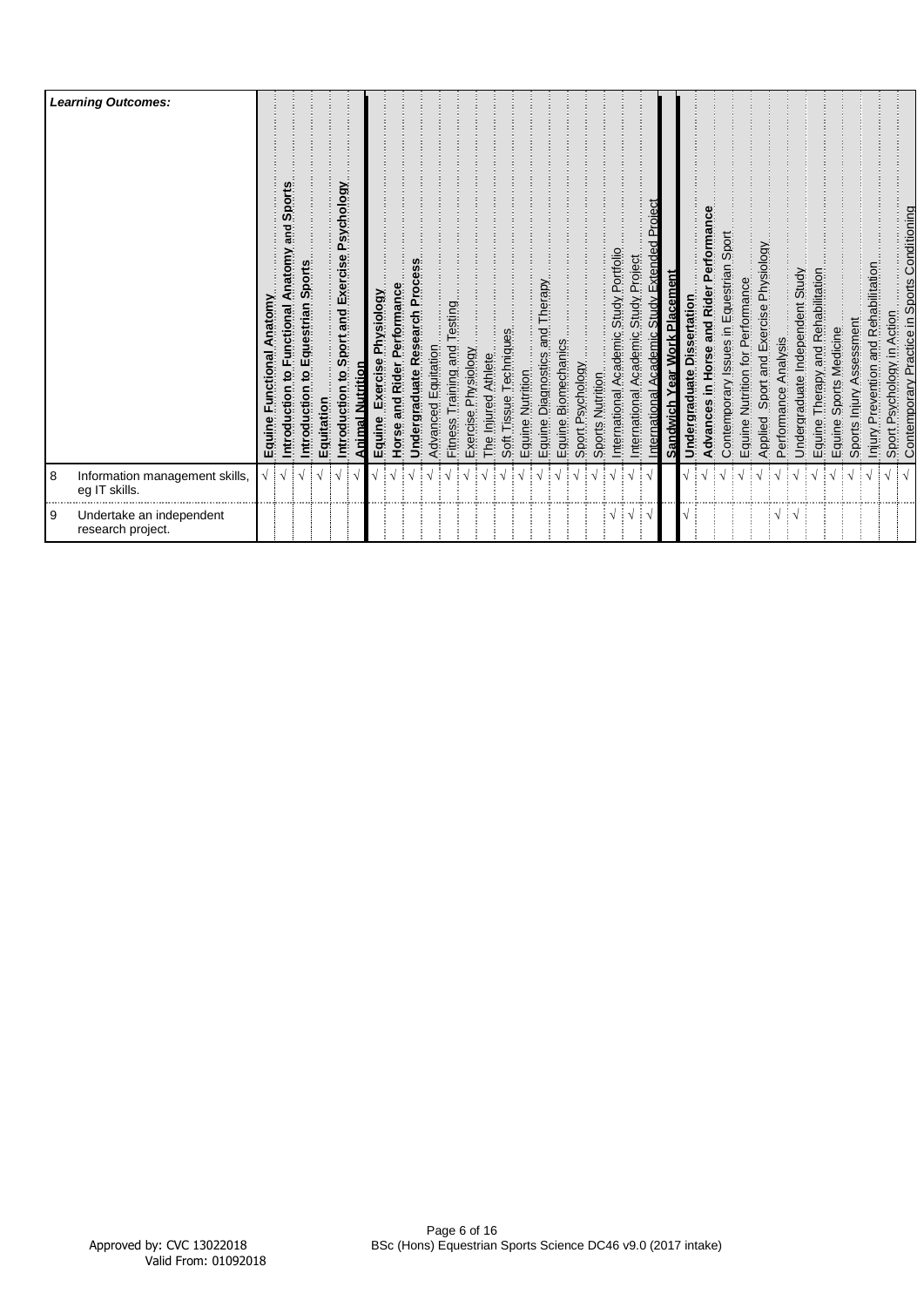|          | <b>Learning Outcomes:</b>                       | Anatomy<br>ctional<br>Equine | Sports<br>piue<br>Anatomy<br>Functional<br>٥,<br>ntroduction | Sports<br>ntroduction to Equestrian | Equitation | Introduction to Sport and Exercise Psychology | Animal Nutrition | Exercise Physiology<br>Equine | Horse and Rider Performance | Undergraduate Research Process | Advanced Equitation | Fitness Training and Testing | Exercise Physiology | The Injured Athlete | Soft Tissue | Equine Nutrition | and Therapy<br>cs<br>Diagnostics<br>Equine. | Biomechanics<br>Equine I | Sport Psychology | Sports Nutrition | Academic Study Portfolio<br>International | Study Project<br>Academic<br>International | Academic Study Extended Proiect<br>International | Sandwich Year Work Placement | Undergraduate Dissertation | Rider Performance<br>and<br>lorse<br>Advances in | Contemporary Issues in Equestrian Sport | Equine Nutrition for Performance | Sport and Exercise Physiology | Analysis<br>Applied Sport<br>Performance / | Undergraduate Independent Study | Therapy and Rehabilitation<br>Equine | Sports Medicine<br>Equine | Sports Injury Assessment | Prevention and Rehabilitation<br>Injury. | Sport Psychology in Action | Contemporary Practice in Sports Conditioning |
|----------|-------------------------------------------------|------------------------------|--------------------------------------------------------------|-------------------------------------|------------|-----------------------------------------------|------------------|-------------------------------|-----------------------------|--------------------------------|---------------------|------------------------------|---------------------|---------------------|-------------|------------------|---------------------------------------------|--------------------------|------------------|------------------|-------------------------------------------|--------------------------------------------|--------------------------------------------------|------------------------------|----------------------------|--------------------------------------------------|-----------------------------------------|----------------------------------|-------------------------------|--------------------------------------------|---------------------------------|--------------------------------------|---------------------------|--------------------------|------------------------------------------|----------------------------|----------------------------------------------|
| 8        | Information management skills,<br>eg IT skills. |                              |                                                              |                                     |            |                                               |                  |                               |                             |                                |                     |                              |                     |                     |             |                  |                                             |                          |                  |                  |                                           |                                            |                                                  |                              |                            |                                                  |                                         |                                  |                               |                                            |                                 |                                      |                           |                          |                                          |                            |                                              |
| <b>9</b> | Undertake an independent<br>research project.   |                              |                                                              |                                     |            |                                               |                  |                               |                             |                                |                     |                              |                     |                     |             |                  |                                             |                          |                  |                  | $\cdot \cdot$                             |                                            |                                                  |                              |                            |                                                  |                                         |                                  |                               | V                                          |                                 |                                      |                           |                          |                                          |                            |                                              |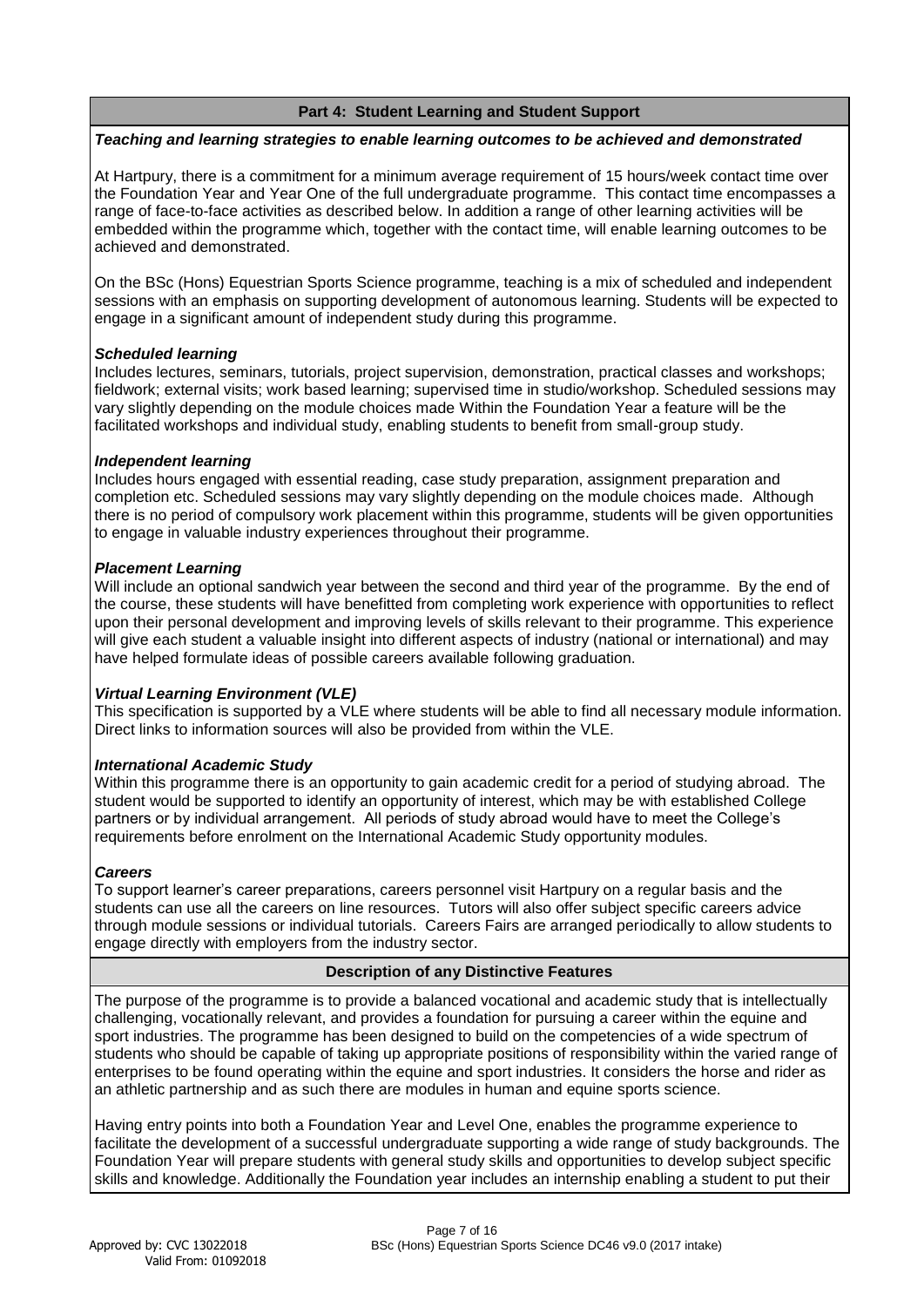# **Part 4: Student Learning and Student Support**

#### *Teaching and learning strategies to enable learning outcomes to be achieved and demonstrated*

At Hartpury, there is a commitment for a minimum average requirement of 15 hours/week contact time over the Foundation Year and Year One of the full undergraduate programme. This contact time encompasses a range of face-to-face activities as described below. In addition a range of other learning activities will be embedded within the programme which, together with the contact time, will enable learning outcomes to be achieved and demonstrated.

On the BSc (Hons) Equestrian Sports Science programme, teaching is a mix of scheduled and independent sessions with an emphasis on supporting development of autonomous learning. Students will be expected to engage in a significant amount of independent study during this programme.

# *Scheduled learning*

Includes lectures, seminars, tutorials, project supervision, demonstration, practical classes and workshops; fieldwork; external visits; work based learning; supervised time in studio/workshop. Scheduled sessions may vary slightly depending on the module choices made Within the Foundation Year a feature will be the facilitated workshops and individual study, enabling students to benefit from small-group study.

# *Independent learning*

Includes hours engaged with essential reading, case study preparation, assignment preparation and completion etc. Scheduled sessions may vary slightly depending on the module choices made. Although there is no period of compulsory work placement within this programme, students will be given opportunities to engage in valuable industry experiences throughout their programme.

# *Placement Learning*

Will include an optional sandwich year between the second and third year of the programme. By the end of the course, these students will have benefitted from completing work experience with opportunities to reflect upon their personal development and improving levels of skills relevant to their programme. This experience will give each student a valuable insight into different aspects of industry (national or international) and may have helped formulate ideas of possible careers available following graduation.

# *Virtual Learning Environment (VLE)*

This specification is supported by a VLE where students will be able to find all necessary module information. Direct links to information sources will also be provided from within the VLE.

# *International Academic Study*

Within this programme there is an opportunity to gain academic credit for a period of studying abroad. The student would be supported to identify an opportunity of interest, which may be with established College partners or by individual arrangement. All periods of study abroad would have to meet the College's requirements before enrolment on the International Academic Study opportunity modules.

#### *Careers*

To support learner's career preparations, careers personnel visit Hartpury on a regular basis and the students can use all the careers on line resources. Tutors will also offer subject specific careers advice through module sessions or individual tutorials. Careers Fairs are arranged periodically to allow students to engage directly with employers from the industry sector.

# **Description of any Distinctive Features**

The purpose of the programme is to provide a balanced vocational and academic study that is intellectually challenging, vocationally relevant, and provides a foundation for pursuing a career within the equine and sport industries. The programme has been designed to build on the competencies of a wide spectrum of students who should be capable of taking up appropriate positions of responsibility within the varied range of enterprises to be found operating within the equine and sport industries. It considers the horse and rider as an athletic partnership and as such there are modules in human and equine sports science.

Having entry points into both a Foundation Year and Level One, enables the programme experience to facilitate the development of a successful undergraduate supporting a wide range of study backgrounds. The Foundation Year will prepare students with general study skills and opportunities to develop subject specific skills and knowledge. Additionally the Foundation year includes an internship enabling a student to put their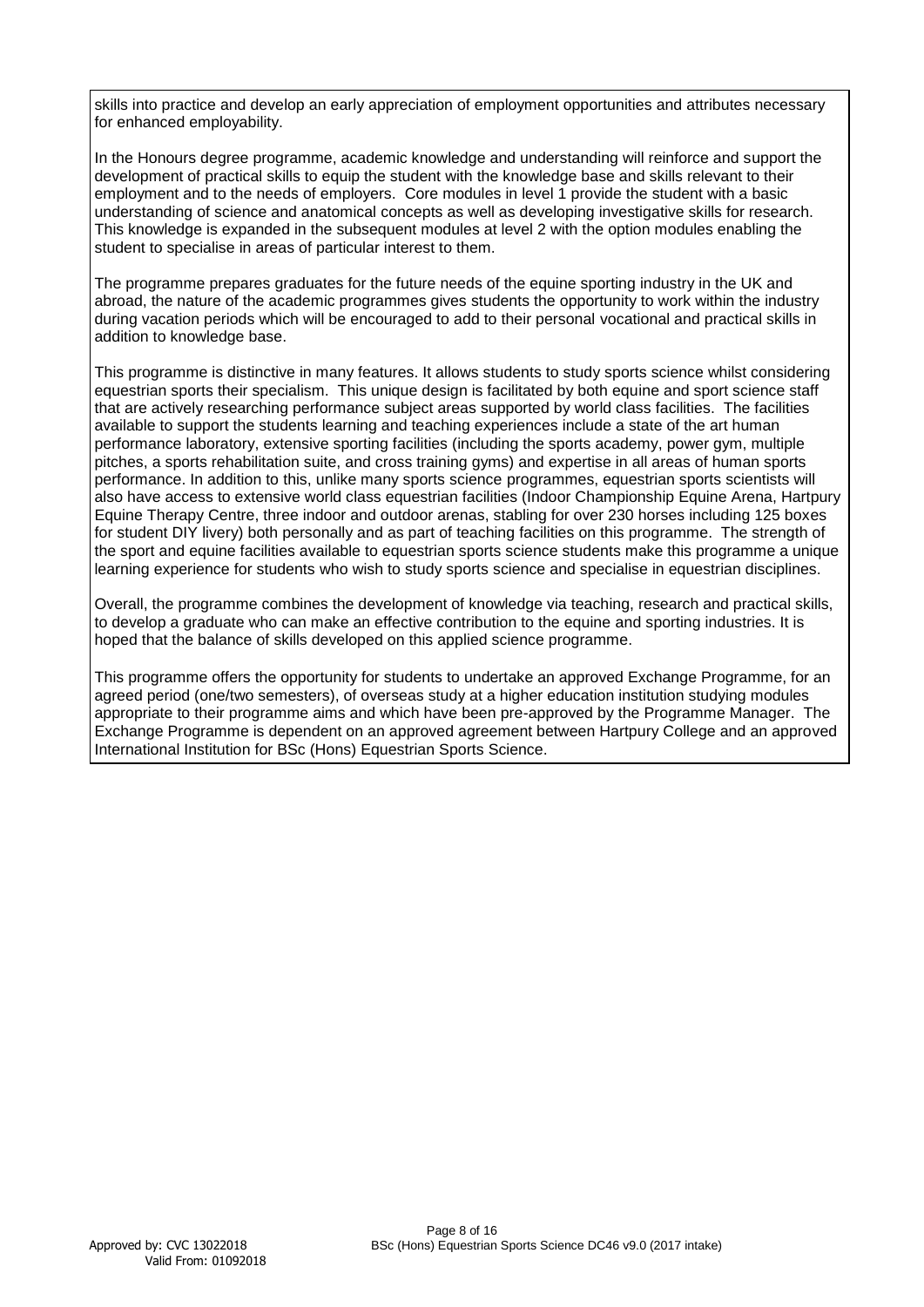skills into practice and develop an early appreciation of employment opportunities and attributes necessary for enhanced employability.

In the Honours degree programme, academic knowledge and understanding will reinforce and support the development of practical skills to equip the student with the knowledge base and skills relevant to their employment and to the needs of employers. Core modules in level 1 provide the student with a basic understanding of science and anatomical concepts as well as developing investigative skills for research. This knowledge is expanded in the subsequent modules at level 2 with the option modules enabling the student to specialise in areas of particular interest to them.

The programme prepares graduates for the future needs of the equine sporting industry in the UK and abroad, the nature of the academic programmes gives students the opportunity to work within the industry during vacation periods which will be encouraged to add to their personal vocational and practical skills in addition to knowledge base.

This programme is distinctive in many features. It allows students to study sports science whilst considering equestrian sports their specialism. This unique design is facilitated by both equine and sport science staff that are actively researching performance subject areas supported by world class facilities. The facilities available to support the students learning and teaching experiences include a state of the art human performance laboratory, extensive sporting facilities (including the sports academy, power gym, multiple pitches, a sports rehabilitation suite, and cross training gyms) and expertise in all areas of human sports performance. In addition to this, unlike many sports science programmes, equestrian sports scientists will also have access to extensive world class equestrian facilities (Indoor Championship Equine Arena, Hartpury Equine Therapy Centre, three indoor and outdoor arenas, stabling for over 230 horses including 125 boxes for student DIY livery) both personally and as part of teaching facilities on this programme. The strength of the sport and equine facilities available to equestrian sports science students make this programme a unique learning experience for students who wish to study sports science and specialise in equestrian disciplines.

Overall, the programme combines the development of knowledge via teaching, research and practical skills, to develop a graduate who can make an effective contribution to the equine and sporting industries. It is hoped that the balance of skills developed on this applied science programme.

This programme offers the opportunity for students to undertake an approved Exchange Programme, for an agreed period (one/two semesters), of overseas study at a higher education institution studying modules appropriate to their programme aims and which have been pre-approved by the Programme Manager. The Exchange Programme is dependent on an approved agreement between Hartpury College and an approved International Institution for BSc (Hons) Equestrian Sports Science.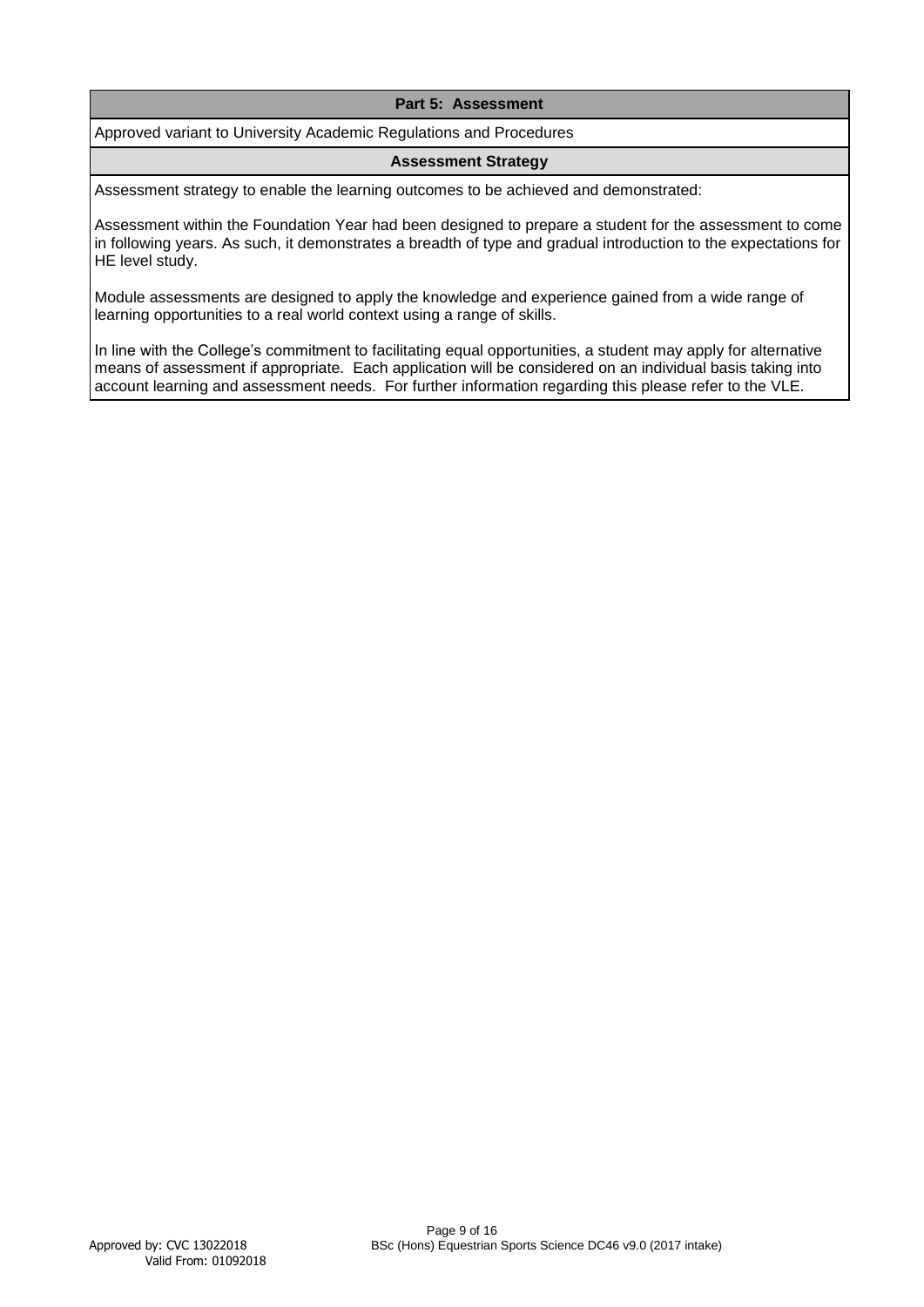# **Part 5: Assessment**

Approved variant to University Academic Regulations and Procedures

### **Assessment Strategy**

Assessment strategy to enable the learning outcomes to be achieved and demonstrated:

Assessment within the Foundation Year had been designed to prepare a student for the assessment to come in following years. As such, it demonstrates a breadth of type and gradual introduction to the expectations for HE level study.

Module assessments are designed to apply the knowledge and experience gained from a wide range of learning opportunities to a real world context using a range of skills.

In line with the College's commitment to facilitating equal opportunities, a student may apply for alternative means of assessment if appropriate. Each application will be considered on an individual basis taking into account learning and assessment needs. For further information regarding this please refer to the VLE.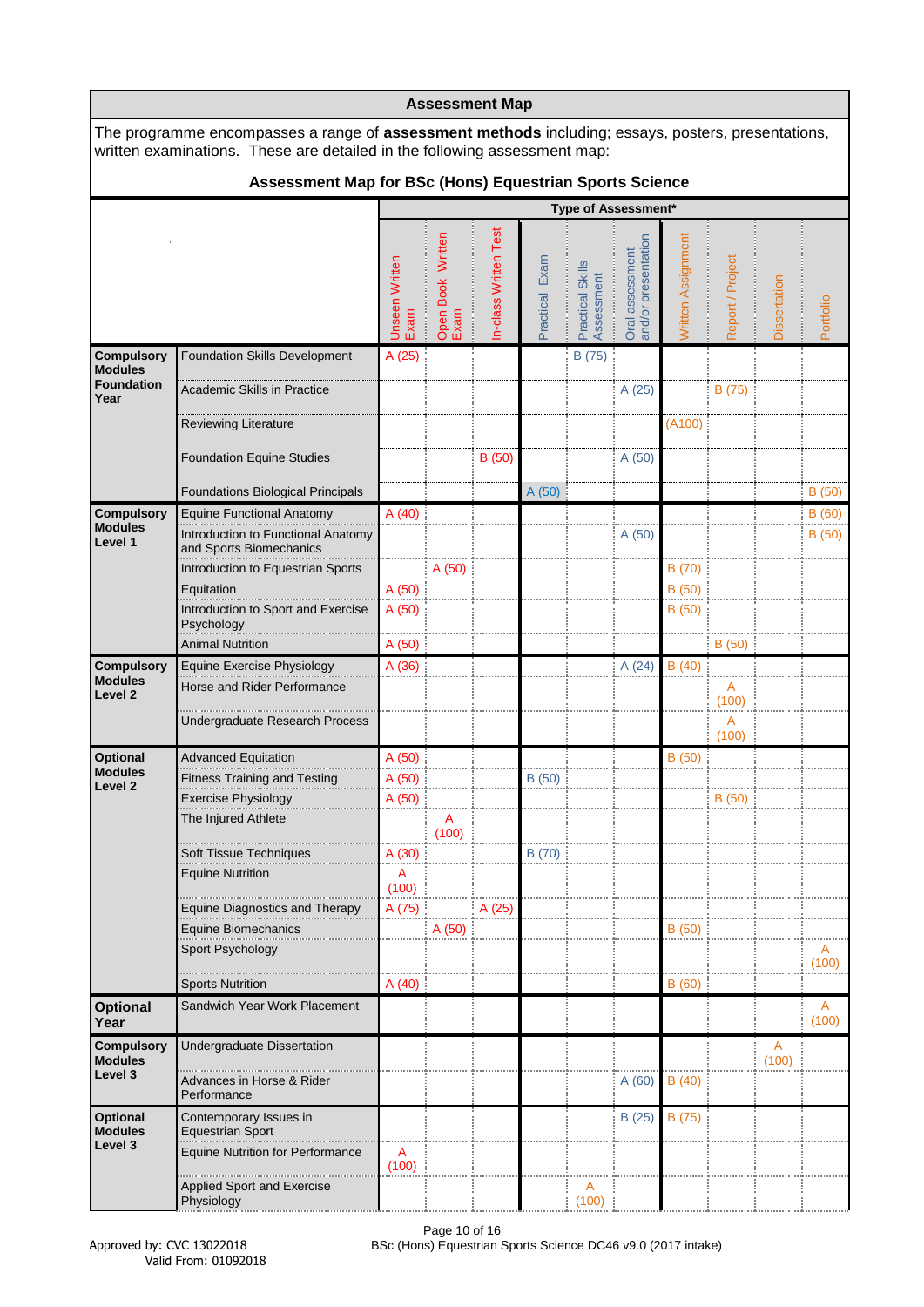|                                                           | <b>Assessment Map</b><br>The programme encompasses a range of <b>assessment methods</b> including; essays, posters, presentations,     |                               |                           |                      |                |                                |                                        |                    |                  |              |                         |  |
|-----------------------------------------------------------|----------------------------------------------------------------------------------------------------------------------------------------|-------------------------------|---------------------------|----------------------|----------------|--------------------------------|----------------------------------------|--------------------|------------------|--------------|-------------------------|--|
|                                                           | written examinations. These are detailed in the following assessment map:                                                              |                               |                           |                      |                |                                |                                        |                    |                  |              |                         |  |
|                                                           | Assessment Map for BSc (Hons) Equestrian Sports Science                                                                                |                               |                           |                      |                |                                |                                        |                    |                  |              |                         |  |
|                                                           |                                                                                                                                        |                               |                           |                      |                |                                | Type of Assessment*                    |                    |                  |              |                         |  |
|                                                           |                                                                                                                                        | <b>Unseen Written</b><br>Exam | Open Book Written<br>Exam | n-class Written Test | Practical Exam | Practical Skills<br>Assessment | Oral assessment<br>and/or presentation | Written Assignment | Report / Project | Dissertation | Portfolio               |  |
| <b>Compulsory</b><br><b>Modules</b>                       | <b>Foundation Skills Development</b>                                                                                                   | A (25)                        |                           |                      |                | B (75)                         |                                        |                    |                  |              |                         |  |
| <b>Foundation</b><br>Year                                 | <b>Academic Skills in Practice</b>                                                                                                     |                               |                           |                      |                |                                | A (25)                                 |                    | B (75)           |              |                         |  |
|                                                           | <b>Reviewing Literature</b>                                                                                                            |                               |                           |                      |                |                                |                                        | (A100)             |                  |              |                         |  |
|                                                           | <b>Foundation Equine Studies</b>                                                                                                       |                               |                           | B (50)               |                |                                | A (50)                                 |                    |                  |              |                         |  |
|                                                           | <b>Foundations Biological Principals</b>                                                                                               |                               |                           |                      | A(50)          |                                |                                        |                    |                  |              | B(50)                   |  |
| <b>Compulsory</b><br><b>Modules</b><br>Level 1            | <b>Equine Functional Anatomy</b><br>Introduction to Functional Anatomy<br>and Sports Biomechanics<br>Introduction to Equestrian Sports | A(40)                         | A (50)                    |                      |                |                                | A(50)                                  | B (70)             |                  |              | B(60)<br>B(50)          |  |
|                                                           | Equitation                                                                                                                             | A (50)                        |                           |                      |                |                                |                                        | B (50)             |                  |              |                         |  |
|                                                           | Introduction to Sport and Exercise<br>Psychology                                                                                       | A(50)                         |                           |                      |                |                                |                                        | B(50)              |                  |              |                         |  |
|                                                           | <b>Animal Nutrition</b>                                                                                                                | A (50)                        |                           |                      |                |                                |                                        |                    | B(50)            |              |                         |  |
| <b>Compulsory</b><br><b>Modules</b><br>Level <sub>2</sub> | Equine Exercise Physiology<br>Horse and Rider Performance                                                                              | A (36)                        |                           |                      |                |                                | A(24)                                  | B(40)              | A<br>(100)       |              |                         |  |
|                                                           | <b>Undergraduate Research Process</b>                                                                                                  |                               |                           |                      |                |                                |                                        |                    | A<br>(100)       |              |                         |  |
| <b>Optional</b><br><b>Modules</b>                         | <b>Advanced Equitation</b>                                                                                                             | A(50)                         |                           |                      |                |                                |                                        | B(50)              |                  |              |                         |  |
| Level 2                                                   | <b>Fitness Training and Testing</b>                                                                                                    | A(50)                         |                           |                      | B(50)          |                                |                                        |                    |                  |              |                         |  |
|                                                           | <b>Exercise Physiology</b><br>The Injured Athlete                                                                                      | A (50)                        | A<br>(100)                |                      |                |                                |                                        |                    | B (50)           |              |                         |  |
|                                                           | Soft Tissue Techniques                                                                                                                 | A(30)                         |                           |                      | B (70)         |                                |                                        |                    |                  |              |                         |  |
|                                                           | <b>Equine Nutrition</b>                                                                                                                | A<br>(100)                    |                           |                      |                |                                |                                        |                    |                  |              |                         |  |
|                                                           | <b>Equine Diagnostics and Therapy</b><br>Equine Biomechanics                                                                           | A (75)                        |                           | A (25)               |                |                                |                                        |                    |                  |              |                         |  |
|                                                           | Sport Psychology                                                                                                                       |                               | A (50)                    |                      |                |                                |                                        | B(50)              |                  |              | A<br>(100)              |  |
|                                                           | <b>Sports Nutrition</b>                                                                                                                | A(40)                         |                           |                      |                |                                |                                        | B (60)             |                  |              |                         |  |
| <b>Optional</b><br>Year                                   | Sandwich Year Work Placement                                                                                                           |                               |                           |                      |                |                                |                                        |                    |                  |              | $\overline{A}$<br>(100) |  |
| <b>Compulsory</b><br><b>Modules</b>                       | <b>Undergraduate Dissertation</b>                                                                                                      |                               |                           |                      |                |                                |                                        |                    |                  | A<br>(100)   |                         |  |
| Level 3                                                   | Advances in Horse & Rider<br>Performance                                                                                               |                               |                           |                      |                |                                | A(60)                                  | B(40)              |                  |              |                         |  |
| <b>Optional</b><br><b>Modules</b><br>Level 3              | Contemporary Issues in<br><b>Equestrian Sport</b>                                                                                      |                               |                           |                      |                |                                | B(25)                                  | B (75)             |                  |              |                         |  |
|                                                           | <b>Equine Nutrition for Performance</b>                                                                                                | A<br>(100)                    |                           |                      |                |                                |                                        |                    |                  |              |                         |  |
|                                                           | <b>Applied Sport and Exercise</b><br>Physiology                                                                                        |                               |                           |                      |                | A<br>(100)                     |                                        |                    |                  |              |                         |  |

٦

Г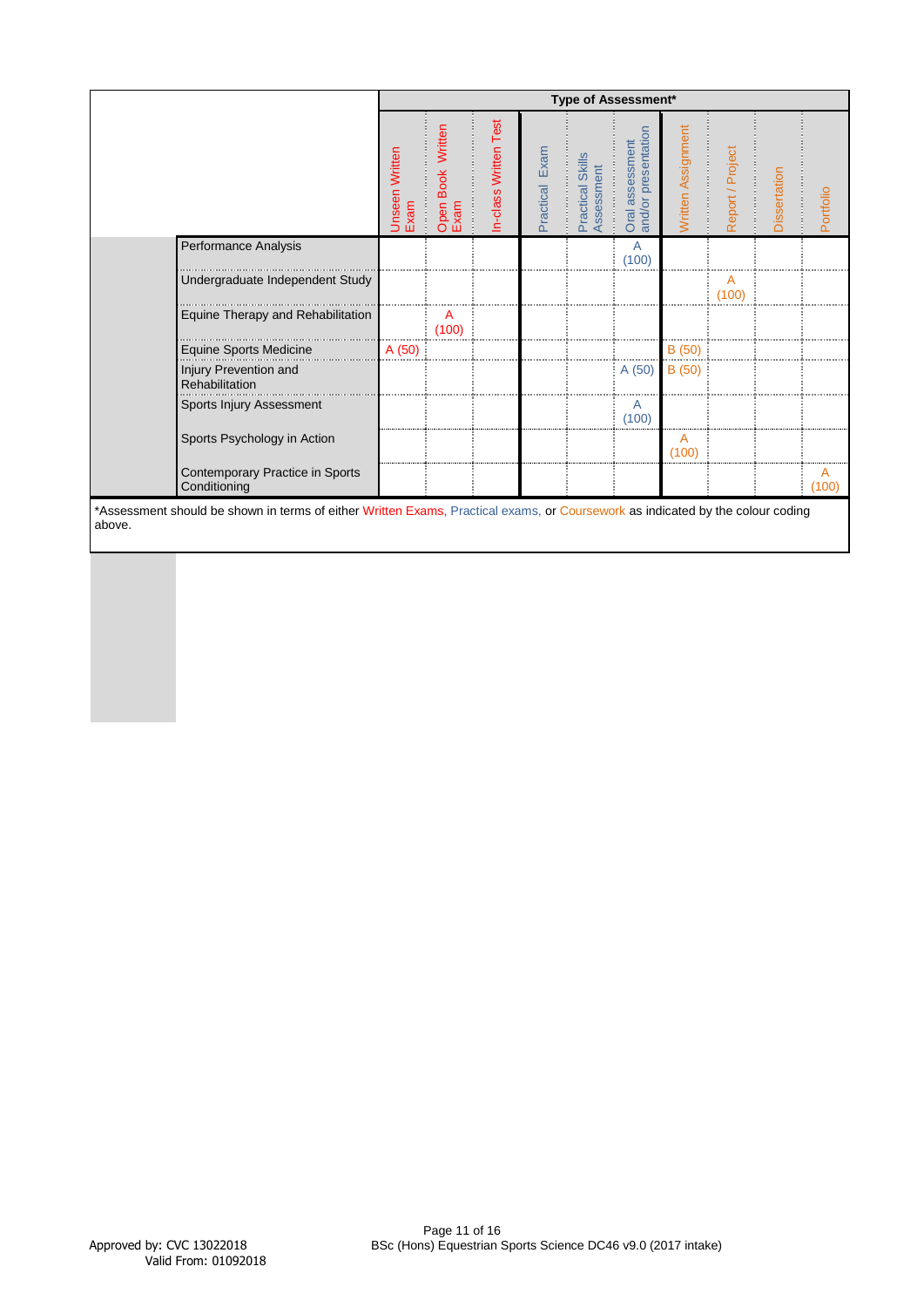|                                                 |                        |                                     |                       |                   | Type of Assessment*                |                                           |                    |                  |              |            |
|-------------------------------------------------|------------------------|-------------------------------------|-----------------------|-------------------|------------------------------------|-------------------------------------------|--------------------|------------------|--------------|------------|
|                                                 | Unseen Written<br>Exam | Written<br><b>Open Book</b><br>Exam | In-class Written Test | Exam<br>Practical | Practical Skills<br>ssessment<br>₹ | and/or presentation<br>assessment<br>Orai | Written Assignment | Report / Project | Dissertation | Portfolio  |
| Performance Analysis                            |                        |                                     |                       |                   |                                    | $\overline{A}$<br>(100)                   |                    |                  |              |            |
| Undergraduate Independent Study                 |                        |                                     |                       |                   |                                    |                                           |                    | A<br>(100)       |              |            |
| Equine Therapy and Rehabilitation               |                        | A<br>(100)                          |                       |                   |                                    |                                           |                    |                  |              |            |
| <b>Equine Sports Medicine</b>                   | A (50)                 |                                     |                       |                   |                                    |                                           | B(50)              |                  |              |            |
| Injury Prevention and<br>Rehabilitation         |                        |                                     |                       |                   |                                    | A(50)                                     | B(50)              |                  |              |            |
| Sports Injury Assessment                        |                        |                                     |                       |                   |                                    | A<br>(100)                                |                    |                  |              |            |
| Sports Psychology in Action                     |                        |                                     |                       |                   |                                    |                                           | Α<br>(100)         |                  |              |            |
| Contemporary Practice in Sports<br>Conditioning |                        |                                     |                       |                   |                                    |                                           |                    |                  |              | А<br>(100) |

\*Assessment should be shown in terms of either Written Exams, Practical exams, or Coursework as indicated by the colour coding above.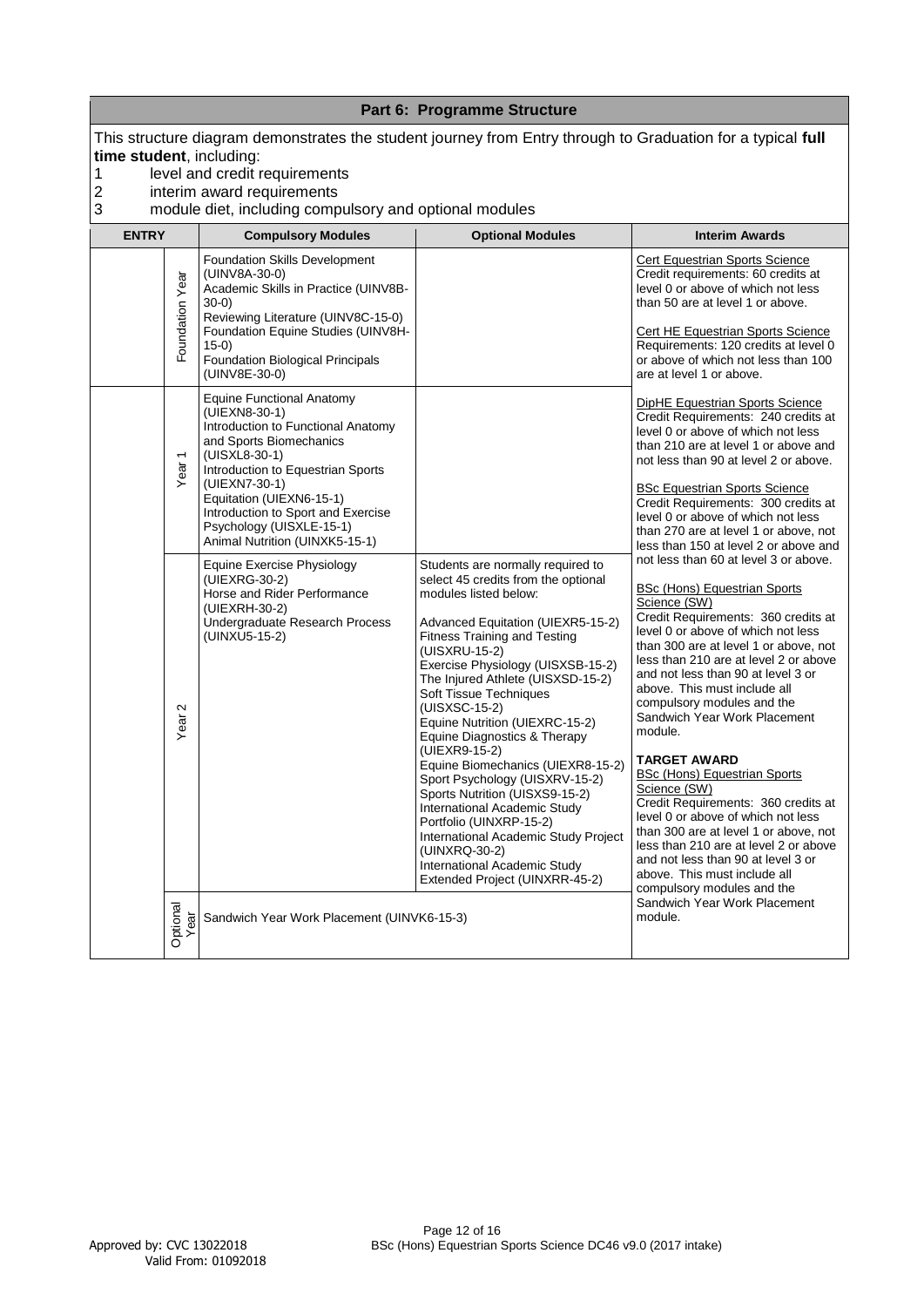|                                                   |                   |                                                                                                                                                                                                                                                                                                                           | Part 6: Programme Structure                                                                                                                                                                                                                                                                                                                                                                                                                                                                                                                                                                                                                                                                           |                                                                                                                                                                                                                                                                                                                                                                                                                                                                                                                                                                                                                                                                                                                                                             |
|---------------------------------------------------|-------------------|---------------------------------------------------------------------------------------------------------------------------------------------------------------------------------------------------------------------------------------------------------------------------------------------------------------------------|-------------------------------------------------------------------------------------------------------------------------------------------------------------------------------------------------------------------------------------------------------------------------------------------------------------------------------------------------------------------------------------------------------------------------------------------------------------------------------------------------------------------------------------------------------------------------------------------------------------------------------------------------------------------------------------------------------|-------------------------------------------------------------------------------------------------------------------------------------------------------------------------------------------------------------------------------------------------------------------------------------------------------------------------------------------------------------------------------------------------------------------------------------------------------------------------------------------------------------------------------------------------------------------------------------------------------------------------------------------------------------------------------------------------------------------------------------------------------------|
| time student, including:<br>1<br>$\mathbf 2$<br>3 |                   | This structure diagram demonstrates the student journey from Entry through to Graduation for a typical full<br>level and credit requirements<br>interim award requirements<br>module diet, including compulsory and optional modules                                                                                      |                                                                                                                                                                                                                                                                                                                                                                                                                                                                                                                                                                                                                                                                                                       |                                                                                                                                                                                                                                                                                                                                                                                                                                                                                                                                                                                                                                                                                                                                                             |
| <b>ENTRY</b>                                      |                   | <b>Compulsory Modules</b>                                                                                                                                                                                                                                                                                                 | <b>Optional Modules</b>                                                                                                                                                                                                                                                                                                                                                                                                                                                                                                                                                                                                                                                                               | <b>Interim Awards</b>                                                                                                                                                                                                                                                                                                                                                                                                                                                                                                                                                                                                                                                                                                                                       |
|                                                   | Foundation Year   | <b>Foundation Skills Development</b><br>(UINV8A-30-0)<br>Academic Skills in Practice (UINV8B-<br>$30-0)$<br>Reviewing Literature (UINV8C-15-0)<br>Foundation Equine Studies (UINV8H-<br>$15-0)$<br>Foundation Biological Principals<br>(UINV8E-30-0)                                                                      |                                                                                                                                                                                                                                                                                                                                                                                                                                                                                                                                                                                                                                                                                                       | Cert Equestrian Sports Science<br>Credit requirements: 60 credits at<br>level 0 or above of which not less<br>than 50 are at level 1 or above.<br><b>Cert HE Equestrian Sports Science</b><br>Requirements: 120 credits at level 0<br>or above of which not less than 100<br>are at level 1 or above.                                                                                                                                                                                                                                                                                                                                                                                                                                                       |
|                                                   | Year <sub>1</sub> | <b>Equine Functional Anatomy</b><br>(UIEXN8-30-1)<br>Introduction to Functional Anatomy<br>and Sports Biomechanics<br>(UISXL8-30-1)<br>Introduction to Equestrian Sports<br>(UIEXN7-30-1)<br>Equitation (UIEXN6-15-1)<br>Introduction to Sport and Exercise<br>Psychology (UISXLE-15-1)<br>Animal Nutrition (UINXK5-15-1) |                                                                                                                                                                                                                                                                                                                                                                                                                                                                                                                                                                                                                                                                                                       | <b>DipHE Equestrian Sports Science</b><br>Credit Requirements: 240 credits at<br>level 0 or above of which not less<br>than 210 are at level 1 or above and<br>not less than 90 at level 2 or above.<br><b>BSc Equestrian Sports Science</b><br>Credit Requirements: 300 credits at<br>level 0 or above of which not less<br>than 270 are at level 1 or above, not<br>less than 150 at level 2 or above and                                                                                                                                                                                                                                                                                                                                                 |
|                                                   | $\sim$<br>Year:   | Equine Exercise Physiology<br>(UIEXRG-30-2)<br>Horse and Rider Performance<br>(UIEXRH-30-2)<br>Undergraduate Research Process<br>(UINXU5-15-2)                                                                                                                                                                            | Students are normally required to<br>select 45 credits from the optional<br>modules listed below:<br>Advanced Equitation (UIEXR5-15-2)<br><b>Fitness Training and Testing</b><br>(UISXRU-15-2)<br>Exercise Physiology (UISXSB-15-2)<br>The Injured Athlete (UISXSD-15-2)<br>Soft Tissue Techniques<br>(UISXSC-15-2)<br>Equine Nutrition (UIEXRC-15-2)<br>Equine Diagnostics & Therapy<br>(UIEXR9-15-2)<br>Equine Biomechanics (UIEXR8-15-2)<br>Sport Psychology (UISXRV-15-2)<br>Sports Nutrition (UISXS9-15-2)<br>International Academic Study<br>Portfolio (UINXRP-15-2)<br>International Academic Study Project<br>(UINXRQ-30-2)<br>International Academic Study<br>Extended Project (UINXRR-45-2) | not less than 60 at level 3 or above.<br><b>BSc (Hons) Equestrian Sports</b><br>Science (SW)<br>Credit Requirements: 360 credits at<br>level 0 or above of which not less<br>than 300 are at level 1 or above, not<br>less than 210 are at level 2 or above<br>and not less than 90 at level 3 or<br>above. This must include all<br>compulsory modules and the<br>Sandwich Year Work Placement<br>module.<br><b>TARGET AWARD</b><br><b>BSc (Hons) Equestrian Sports</b><br>Science (SW)<br>Credit Requirements: 360 credits at<br>level 0 or above of which not less<br>than 300 are at level 1 or above, not<br>less than 210 are at level 2 or above<br>and not less than 90 at level 3 or<br>above. This must include all<br>compulsory modules and the |
|                                                   | Optional<br>Year  | Sandwich Year Work Placement (UINVK6-15-3)                                                                                                                                                                                                                                                                                |                                                                                                                                                                                                                                                                                                                                                                                                                                                                                                                                                                                                                                                                                                       | Sandwich Year Work Placement<br>module.                                                                                                                                                                                                                                                                                                                                                                                                                                                                                                                                                                                                                                                                                                                     |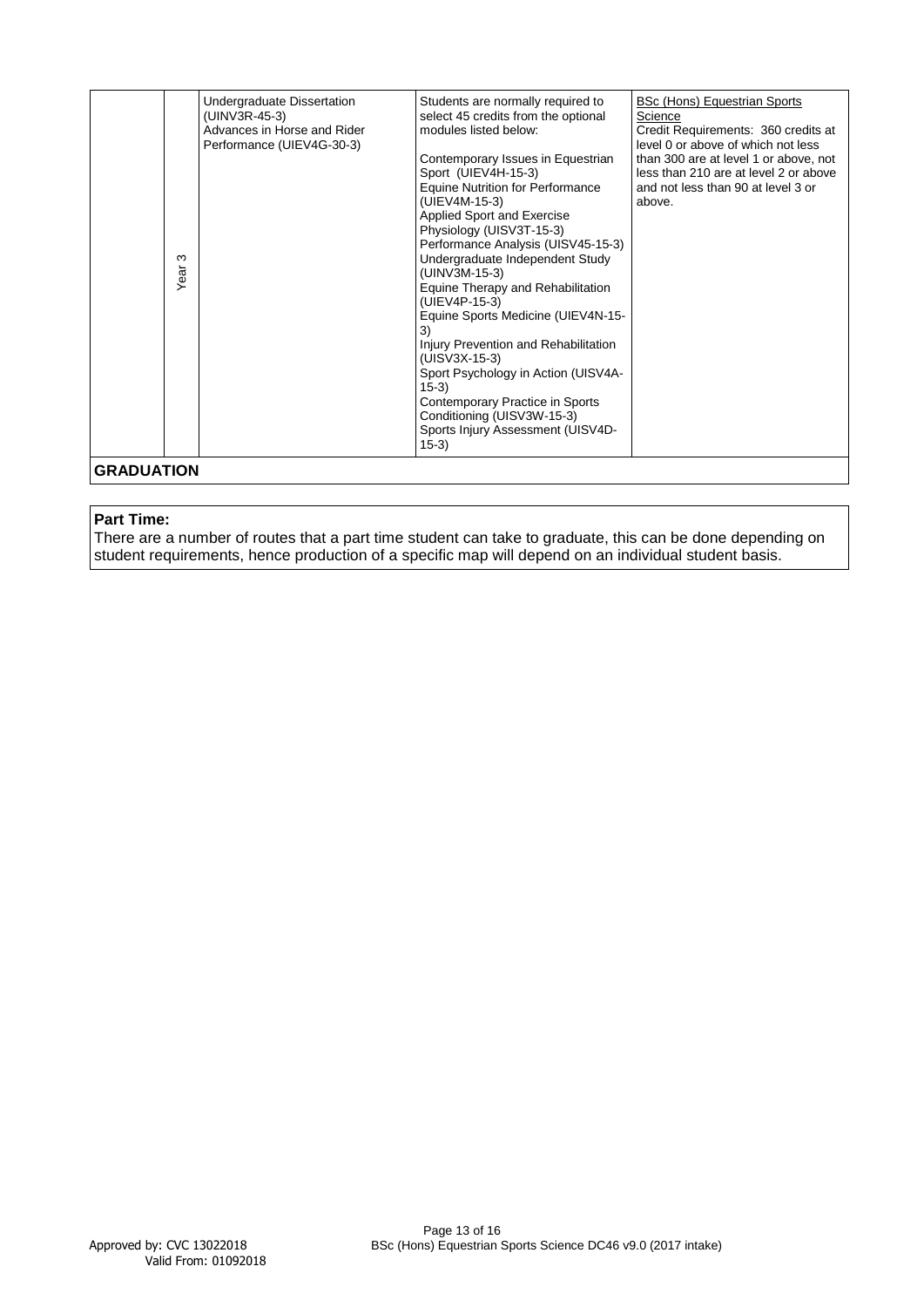|                           | S<br>Year: | Undergraduate Dissertation<br>(UINV3R-45-3)<br>Advances in Horse and Rider<br>Performance (UIEV4G-30-3) | Students are normally required to<br>select 45 credits from the optional<br>modules listed below:<br>Contemporary Issues in Equestrian<br>Sport (UIEV4H-15-3)<br>Equine Nutrition for Performance<br>(UIEV4M-15-3)<br>Applied Sport and Exercise<br>Physiology (UISV3T-15-3)<br>Performance Analysis (UISV45-15-3)<br>Undergraduate Independent Study<br>(UINV3M-15-3)<br>Equine Therapy and Rehabilitation<br>(UIEV4P-15-3)<br>Equine Sports Medicine (UIEV4N-15-<br>3)<br>Injury Prevention and Rehabilitation<br>(UISV3X-15-3)<br>Sport Psychology in Action (UISV4A-<br>$15-3)$<br>Contemporary Practice in Sports<br>Conditioning (UISV3W-15-3)<br>Sports Injury Assessment (UISV4D-<br>$15-3)$ | <b>BSc (Hons) Equestrian Sports</b><br>Science<br>Credit Requirements: 360 credits at<br>level 0 or above of which not less<br>than 300 are at level 1 or above, not<br>less than 210 are at level 2 or above<br>and not less than 90 at level 3 or<br>above. |
|---------------------------|------------|---------------------------------------------------------------------------------------------------------|------------------------------------------------------------------------------------------------------------------------------------------------------------------------------------------------------------------------------------------------------------------------------------------------------------------------------------------------------------------------------------------------------------------------------------------------------------------------------------------------------------------------------------------------------------------------------------------------------------------------------------------------------------------------------------------------------|---------------------------------------------------------------------------------------------------------------------------------------------------------------------------------------------------------------------------------------------------------------|
| <b>GRADUATION</b>         |            |                                                                                                         |                                                                                                                                                                                                                                                                                                                                                                                                                                                                                                                                                                                                                                                                                                      |                                                                                                                                                                                                                                                               |
| <b>Part Time:</b>         |            |                                                                                                         | There are a number of routes that a part time student can take to graduate, this can be done depending on<br>student requirements, hence production of a specific map will depend on an individual student basis.                                                                                                                                                                                                                                                                                                                                                                                                                                                                                    |                                                                                                                                                                                                                                                               |
|                           |            |                                                                                                         |                                                                                                                                                                                                                                                                                                                                                                                                                                                                                                                                                                                                                                                                                                      |                                                                                                                                                                                                                                                               |
| Approved by: CVC 13022018 |            | Valid From: 01092018                                                                                    | Page 13 of 16<br>BSc (Hons) Equestrian Sports Science DC46 v9.0 (2017 intake)                                                                                                                                                                                                                                                                                                                                                                                                                                                                                                                                                                                                                        |                                                                                                                                                                                                                                                               |

## **Part Time:**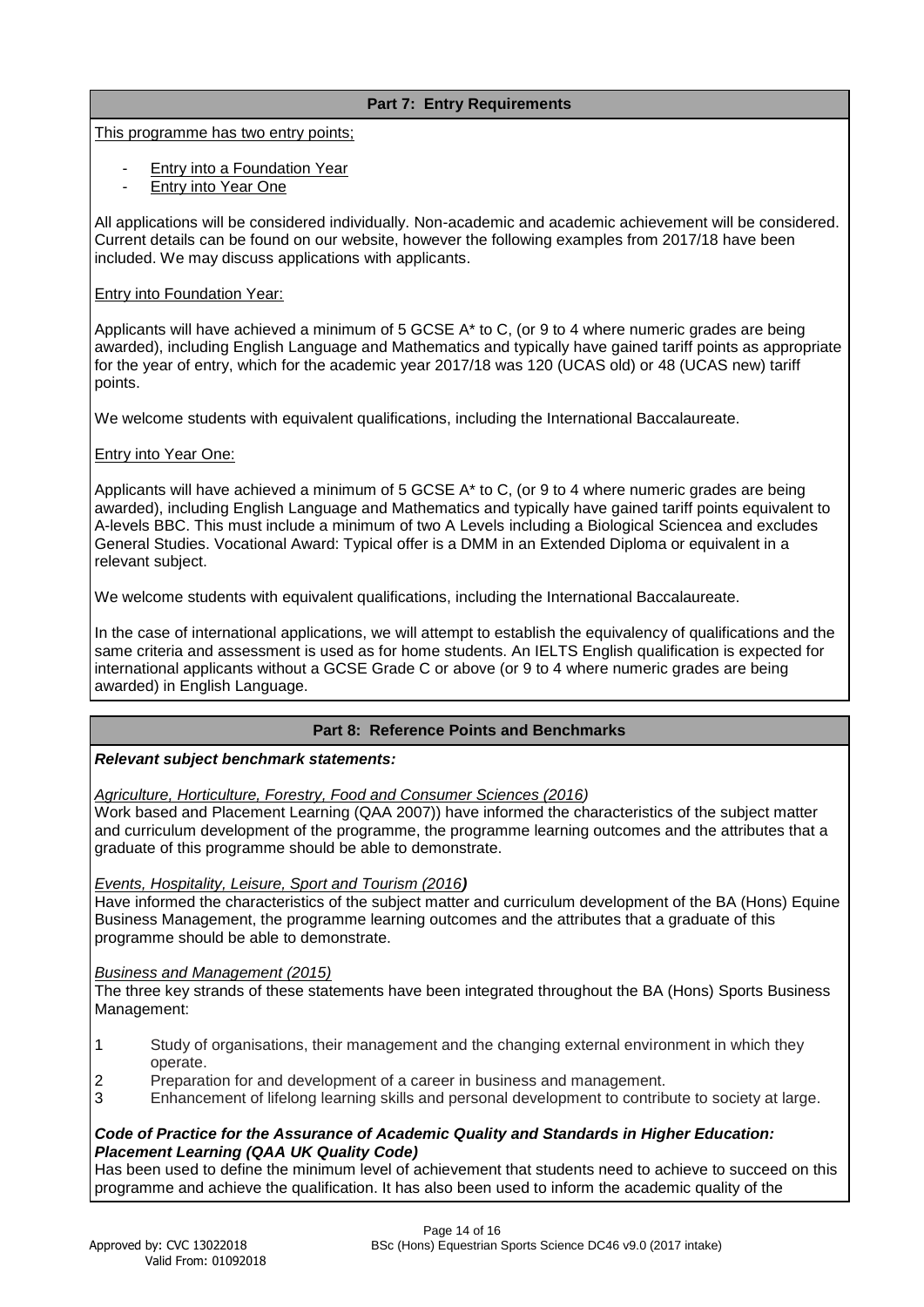# **Part 7: Entry Requirements**

This programme has two entry points;

- Entry into a Foundation Year
- **Entry into Year One**

All applications will be considered individually. Non-academic and academic achievement will be considered. Current details can be found on our website, however the following examples from 2017/18 have been included. We may discuss applications with applicants.

# Entry into Foundation Year:

Applicants will have achieved a minimum of 5 GCSE A\* to C, (or 9 to 4 where numeric grades are being awarded), including English Language and Mathematics and typically have gained tariff points as appropriate for the year of entry, which for the academic year 2017/18 was 120 (UCAS old) or 48 (UCAS new) tariff points.

We welcome students with equivalent qualifications, including the International Baccalaureate.

# Entry into Year One:

Applicants will have achieved a minimum of 5 GCSE A<sup>\*</sup> to C, (or 9 to 4 where numeric grades are being awarded), including English Language and Mathematics and typically have gained tariff points equivalent to A-levels BBC. This must include a minimum of two A Levels including a Biological Sciencea and excludes General Studies. Vocational Award: Typical offer is a DMM in an Extended Diploma or equivalent in a relevant subject.

We welcome students with equivalent qualifications, including the International Baccalaureate.

In the case of international applications, we will attempt to establish the equivalency of qualifications and the same criteria and assessment is used as for home students. An IELTS English qualification is expected for international applicants without a GCSE Grade C or above (or 9 to 4 where numeric grades are being awarded) in English Language.

# **Part 8: Reference Points and Benchmarks**

# *Relevant subject benchmark statements:*

*Agriculture, Horticulture, Forestry, Food and Consumer Sciences (2016)* 

Work based and Placement Learning (QAA 2007)) have informed the characteristics of the subject matter and curriculum development of the programme, the programme learning outcomes and the attributes that a graduate of this programme should be able to demonstrate.

# *Events, Hospitality, Leisure, Sport and Tourism (2016)*

Have informed the characteristics of the subject matter and curriculum development of the BA (Hons) Equine Business Management, the programme learning outcomes and the attributes that a graduate of this programme should be able to demonstrate.

# *Business and Management (2015)*

The three key strands of these statements have been integrated throughout the BA (Hons) Sports Business Management:

- 1 Study of organisations, their management and the changing external environment in which they operate.
- 2 Preparation for and development of a career in business and management.
- 3 Enhancement of lifelong learning skills and personal development to contribute to society at large.

# *Code of Practice for the Assurance of Academic Quality and Standards in Higher Education: Placement Learning (QAA UK Quality Code)*

Has been used to define the minimum level of achievement that students need to achieve to succeed on this programme and achieve the qualification. It has also been used to inform the academic quality of the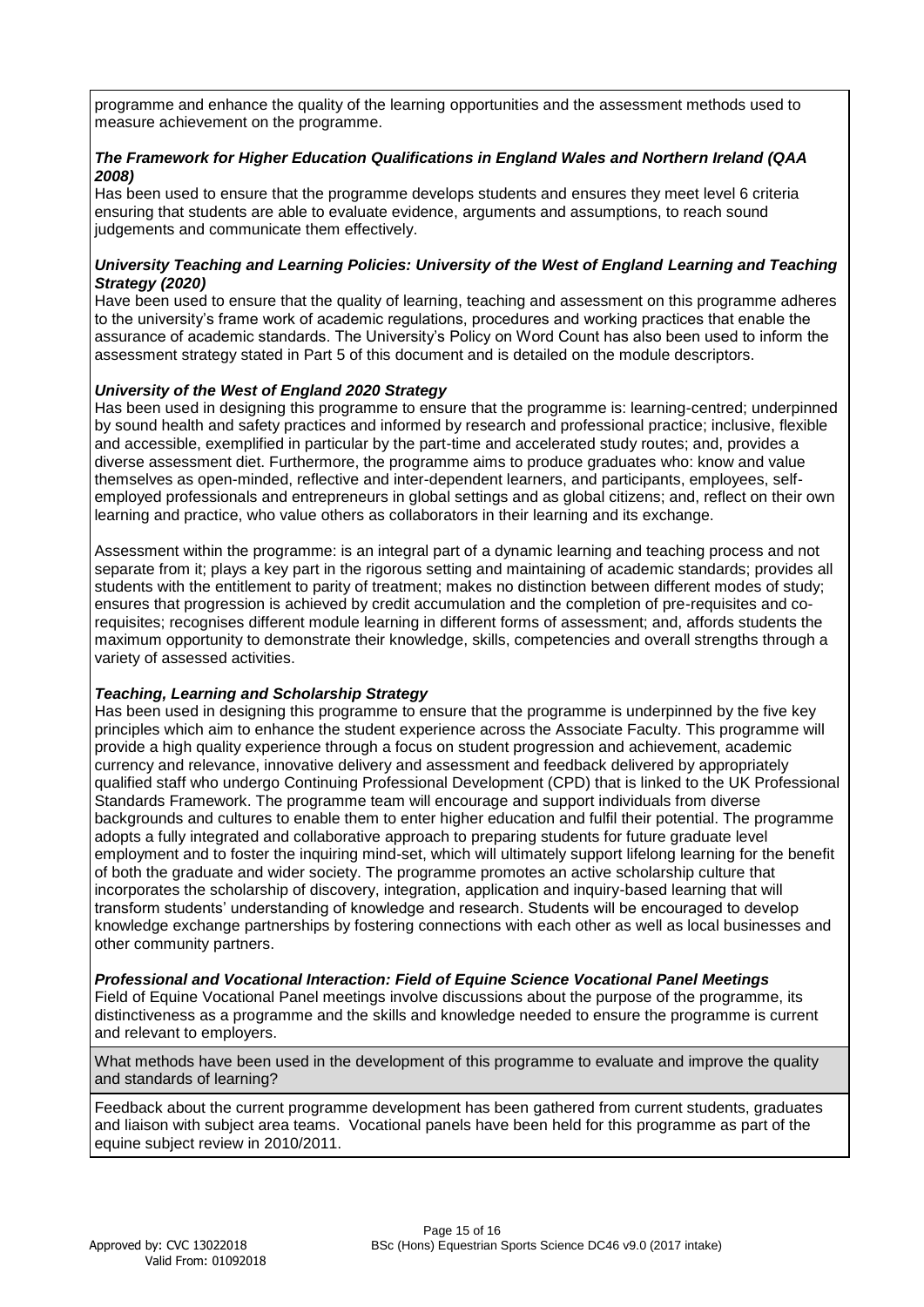programme and enhance the quality of the learning opportunities and the assessment methods used to measure achievement on the programme.

# *The Framework for Higher Education Qualifications in England Wales and Northern Ireland (QAA 2008)*

Has been used to ensure that the programme develops students and ensures they meet level 6 criteria ensuring that students are able to evaluate evidence, arguments and assumptions, to reach sound judgements and communicate them effectively.

# *University Teaching and Learning Policies: University of the West of England Learning and Teaching Strategy (2020)*

Have been used to ensure that the quality of learning, teaching and assessment on this programme adheres to the university's frame work of academic regulations, procedures and working practices that enable the assurance of academic standards. The University's Policy on Word Count has also been used to inform the assessment strategy stated in Part 5 of this document and is detailed on the module descriptors.

# *University of the West of England 2020 Strategy*

Has been used in designing this programme to ensure that the programme is: learning-centred; underpinned by sound health and safety practices and informed by research and professional practice; inclusive, flexible and accessible, exemplified in particular by the part-time and accelerated study routes; and, provides a diverse assessment diet. Furthermore, the programme aims to produce graduates who: know and value themselves as open-minded, reflective and inter-dependent learners, and participants, employees, selfemployed professionals and entrepreneurs in global settings and as global citizens; and, reflect on their own learning and practice, who value others as collaborators in their learning and its exchange.

Assessment within the programme: is an integral part of a dynamic learning and teaching process and not separate from it; plays a key part in the rigorous setting and maintaining of academic standards; provides all students with the entitlement to parity of treatment; makes no distinction between different modes of study; ensures that progression is achieved by credit accumulation and the completion of pre-requisites and corequisites; recognises different module learning in different forms of assessment; and, affords students the maximum opportunity to demonstrate their knowledge, skills, competencies and overall strengths through a variety of assessed activities.

# *Teaching, Learning and Scholarship Strategy*

Has been used in designing this programme to ensure that the programme is underpinned by the five key principles which aim to enhance the student experience across the Associate Faculty. This programme will provide a high quality experience through a focus on student progression and achievement, academic currency and relevance, innovative delivery and assessment and feedback delivered by appropriately qualified staff who undergo Continuing Professional Development (CPD) that is linked to the UK Professional Standards Framework. The programme team will encourage and support individuals from diverse backgrounds and cultures to enable them to enter higher education and fulfil their potential. The programme adopts a fully integrated and collaborative approach to preparing students for future graduate level employment and to foster the inquiring mind-set, which will ultimately support lifelong learning for the benefit of both the graduate and wider society. The programme promotes an active scholarship culture that incorporates the scholarship of discovery, integration, application and inquiry-based learning that will transform students' understanding of knowledge and research. Students will be encouraged to develop knowledge exchange partnerships by fostering connections with each other as well as local businesses and other community partners.

# *Professional and Vocational Interaction: Field of Equine Science Vocational Panel Meetings*

Field of Equine Vocational Panel meetings involve discussions about the purpose of the programme, its distinctiveness as a programme and the skills and knowledge needed to ensure the programme is current and relevant to employers.

What methods have been used in the development of this programme to evaluate and improve the quality and standards of learning?

Feedback about the current programme development has been gathered from current students, graduates and liaison with subject area teams. Vocational panels have been held for this programme as part of the equine subject review in 2010/2011.